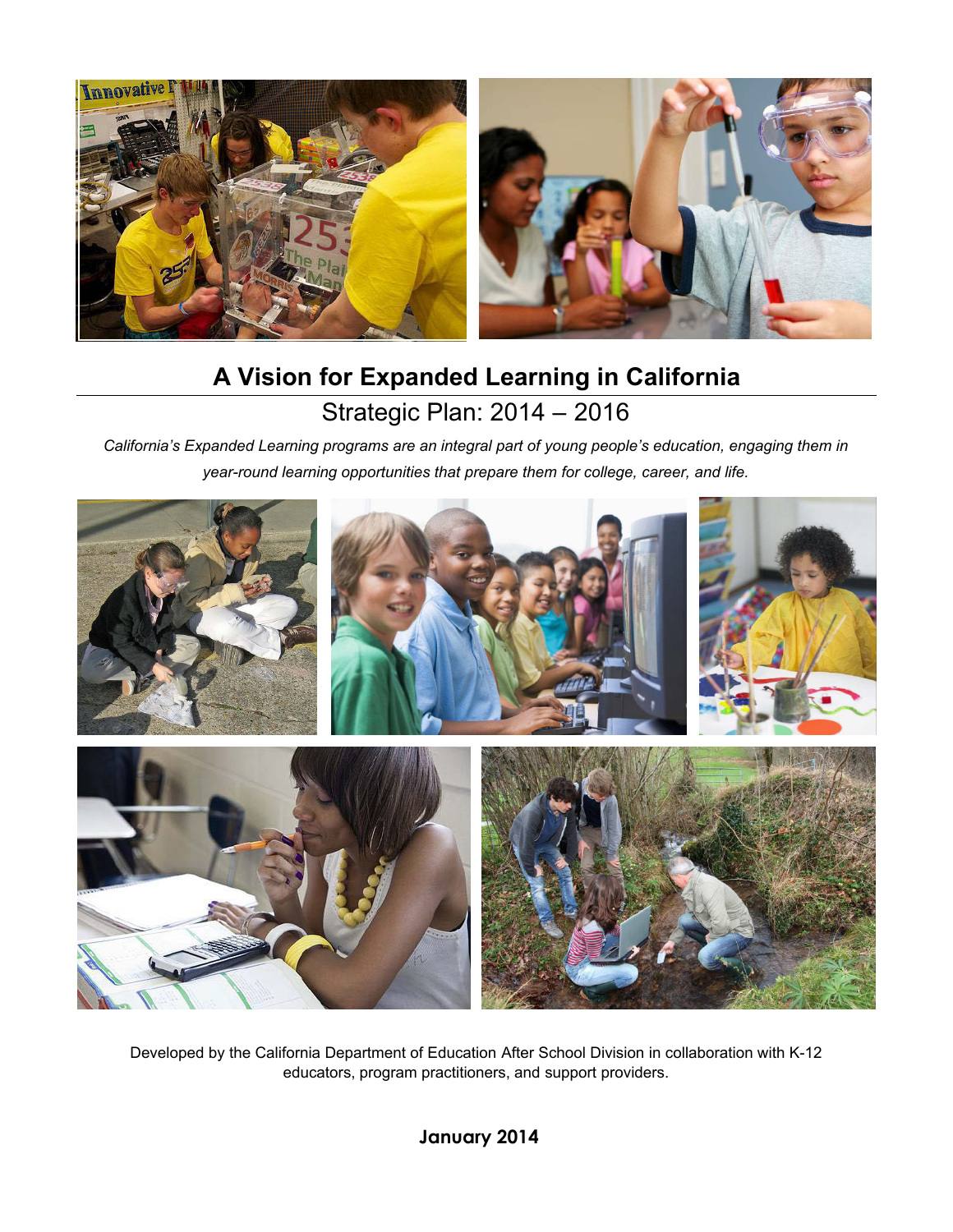

# Strategic Plan: 2014 – 2016 **A Vision for Expanded Learning in California**

*California's Expanded Learning programs are an integral part of young people's education, engaging them in year-round learning opportunities that prepare them for college, career, and life.* 



Developed by the California Department of Education After School Division in collaboration with K-12 educators, program practitioners, and support providers.

 **January 2014**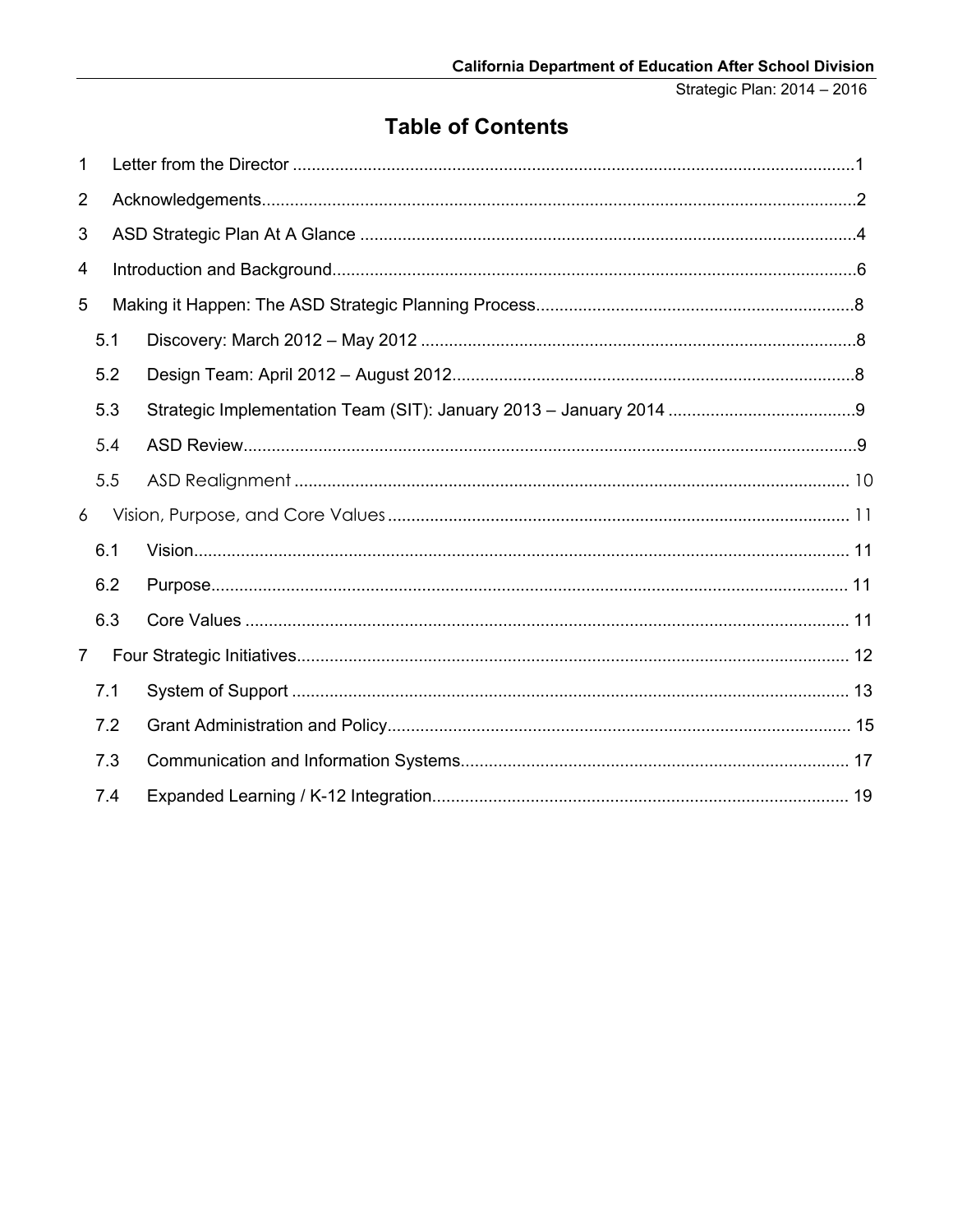## **Table of Contents**

| 1              |     |  |
|----------------|-----|--|
| $\overline{2}$ |     |  |
| 3              |     |  |
| 4              |     |  |
| 5              |     |  |
|                | 5.1 |  |
|                | 5.2 |  |
|                | 5.3 |  |
|                | 5.4 |  |
|                | 5.5 |  |
| 6              |     |  |
|                | 6.1 |  |
|                | 6.2 |  |
|                | 6.3 |  |
| $\overline{7}$ |     |  |
|                | 7.1 |  |
|                | 7.2 |  |
|                | 7.3 |  |
|                | 7.4 |  |
|                |     |  |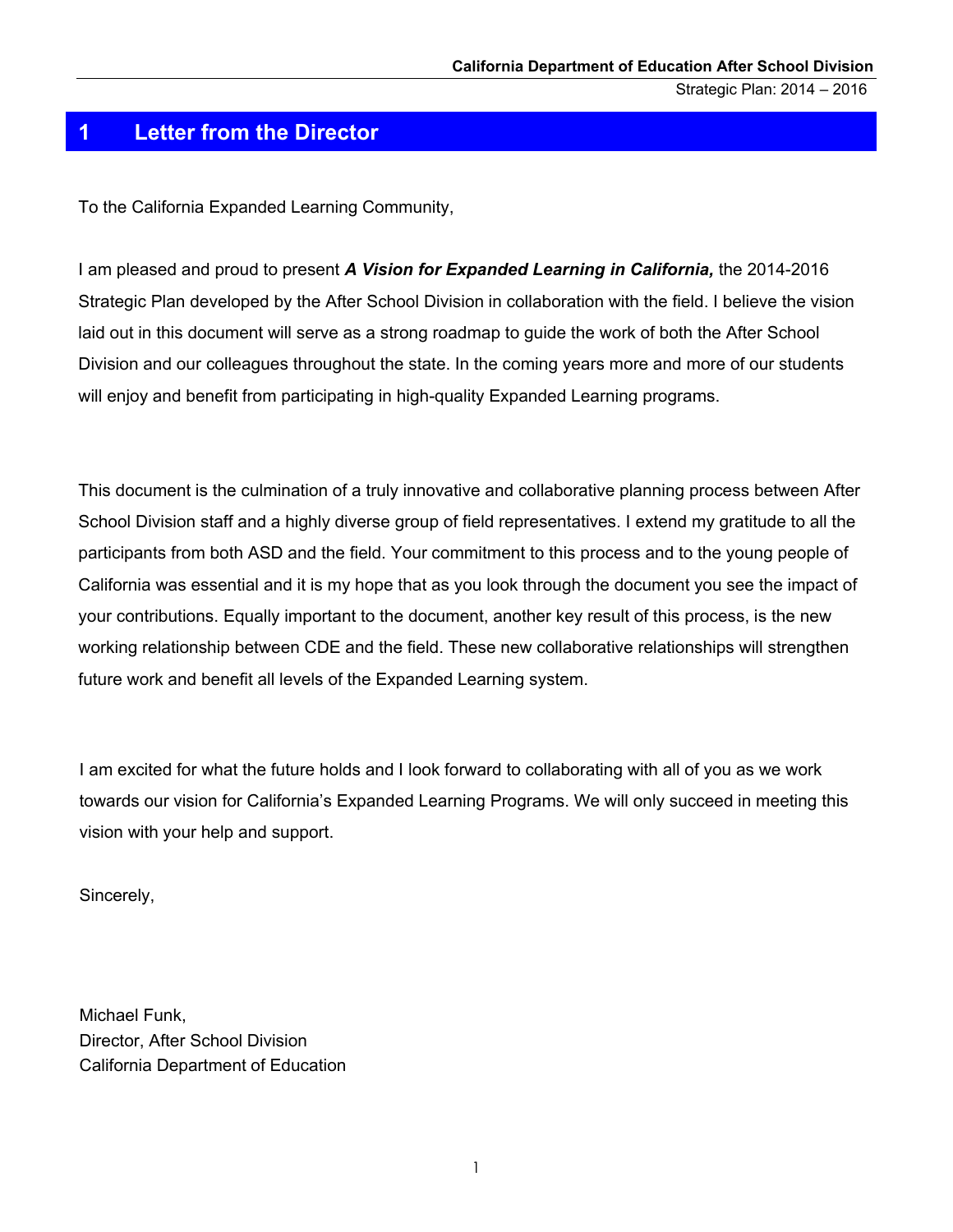#### <span id="page-3-0"></span>**1 Letter from the Director**

To the California Expanded Learning Community,

 I am pleased and proud to present *A Vision for Expanded Learning in California,* the 2014-2016 Strategic Plan developed by the After School Division in collaboration with the field. I believe the vision laid out in this document will serve as a strong roadmap to guide the work of both the After School Division and our colleagues throughout the state. In the coming years more and more of our students will enjoy and benefit from participating in high-quality Expanded Learning programs.

 This document is the culmination of a truly innovative and collaborative planning process between After School Division staff and a highly diverse group of field representatives. I extend my gratitude to all the participants from both ASD and the field. Your commitment to this process and to the young people of California was essential and it is my hope that as you look through the document you see the impact of your contributions. Equally important to the document, another key result of this process, is the new working relationship between CDE and the field. These new collaborative relationships will strengthen future work and benefit all levels of the Expanded Learning system.

 I am excited for what the future holds and I look forward to collaborating with all of you as we work towards our vision for California's Expanded Learning Programs. We will only succeed in meeting this vision with your help and support.

Sincerely,

 Michael Funk, Director, After School Division California Department of Education

1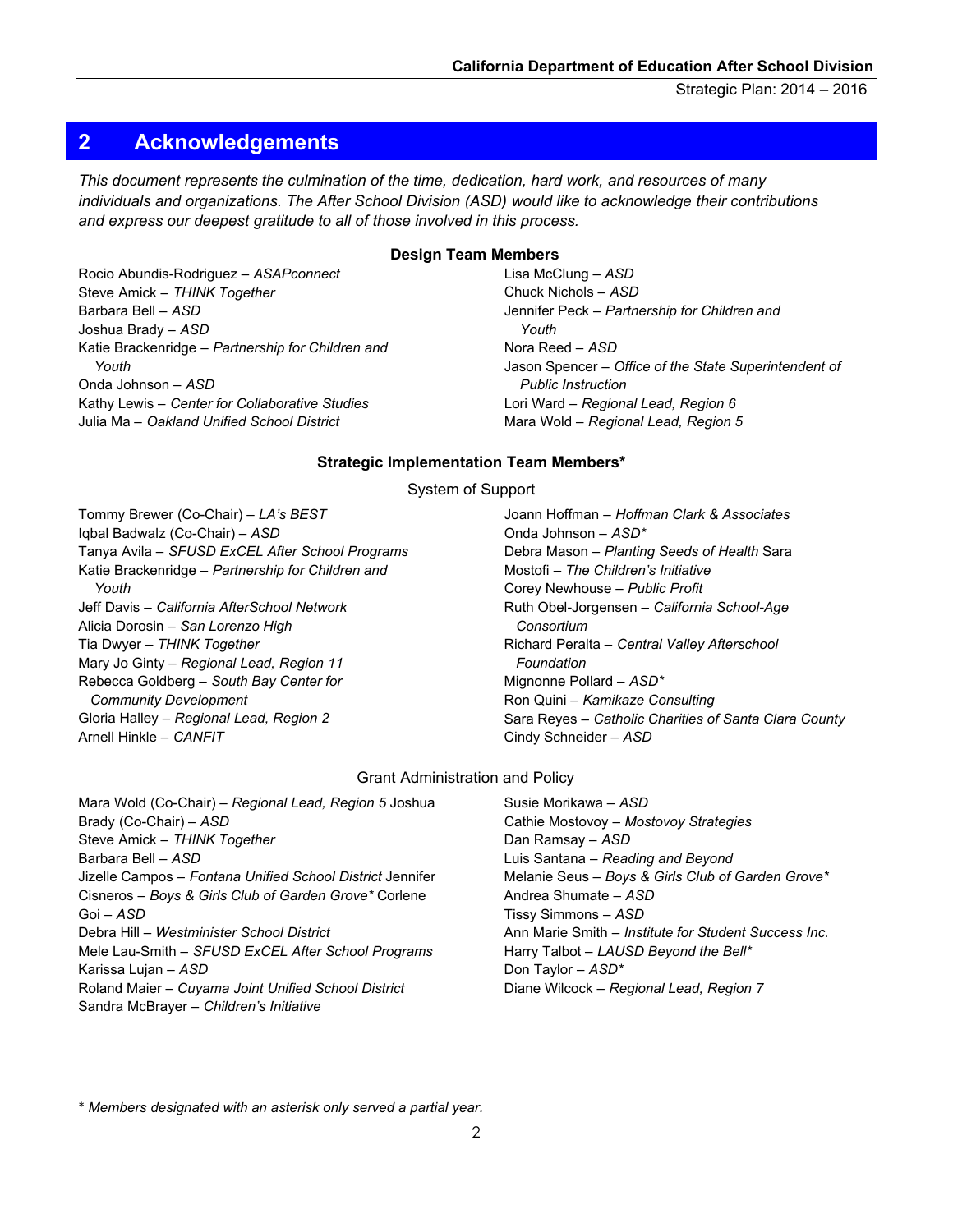#### <span id="page-4-0"></span>**2 Acknowledgements**

 *and express our deepest gratitude to all of those involved in this process. This document represents the culmination of the time, dedication, hard work, and resources of many individuals and organizations. The After School Division (ASD) would like to acknowledge their contributions* 

#### **Design Team Members**

Rocio Abundis-Rodriguez – *ASAPconnect*  Steve Amick – *THINK Together*  Barbara Bell – *ASD*  Joshua Brady – *ASD*  Katie Brackenridge – *Partnership for Children and Youth*  Onda Johnson – *ASD*  Kathy Lewis – *Center for Collaborative Studies*  Julia Ma – *Oakland Unified School District* 

 Lisa McClung – *ASD*  Chuck Nichols – *ASD*  Jennifer Peck – *Partnership for Children and*  Nora Reed – *ASD*  Jason Spencer – *Office of the State Superintendent of*  Lori Ward – *Regional Lead, Region 6*  Mara Wold – *Regional Lead, Region 5 Youth Public Instruction* 

#### **Strategic Implementation Team Members\***

System of Support

Tommy Brewer (Co-Chair) – *LA's BEST*  Iqbal Badwalz (Co-Chair) – *ASD*  Tanya Avila – *SFUSD ExCEL After School Programs* Katie Brackenridge – *Partnership for Children and Youth*  Jeff Davis – *California AfterSchool Network*  Alicia Dorosin – *San Lorenzo High*  Tia Dwyer – *THINK Together*  Mary Jo Ginty – *Regional Lead, Region 11*  Rebecca Goldberg – *South Bay Center for Community Development*  Gloria Halley – *Regional Lead, Region 2*  Arnell Hinkle – *CANFIT* 

 Joann Hoffman – *Hoffman Clark & Associates*  Onda Johnson – *ASD\**  Debra Mason – *Planting Seeds of Health* Sara Mostofi – *The Children's Initiative*  Corey Newhouse – *Public Profit*  Richard Peralta – *Central Valley Afterschool*  Mignonne Pollard – *ASD\**  Ron Quini – *Kamikaze Consulting*  Sara Reyes – *Catholic Charities of Santa Clara County*  Cindy Schneider – *ASD*  Ruth Obel-Jorgensen – *California School-Age Consortium Foundation* 

#### Grant Administration and Policy

Mara Wold (Co-Chair) – *Regional Lead, Region 5* Joshua Brady (Co-Chair) – *ASD*  Steve Amick – *THINK Together*  Barbara Bell – *ASD*  Jizelle Campos – *Fontana Unified School District* Jennifer Cisneros – *Boys & Girls Club of Garden Grove\** Corlene Goi – *ASD*  Debra Hill *– Westminister School District*  Mele Lau-Smith – *SFUSD ExCEL After School Programs*  Karissa Lujan – *ASD*  Roland Maier *– Cuyama Joint Unified School District*  Sandra McBrayer – *Children's Initiative* 

 Susie Morikawa – *ASD*  Cathie Mostovoy – *Mostovoy Strategies*  Dan Ramsay – *ASD*  Luis Santana – *Reading and Beyond*  Andrea Shumate – *ASD*  Tissy Simmons – *ASD*  Ann Marie Smith – *Institute for Student Success Inc.*  Harry Talbot – *LAUSD Beyond the Bell\**  Don Taylor – *ASD\**  Diane Wilcock – *Regional Lead, Region 7*  Melanie Seus – *Boys & Girls Club of Garden Grove\** 

*\* Members designated with an asterisk only served a partial year.*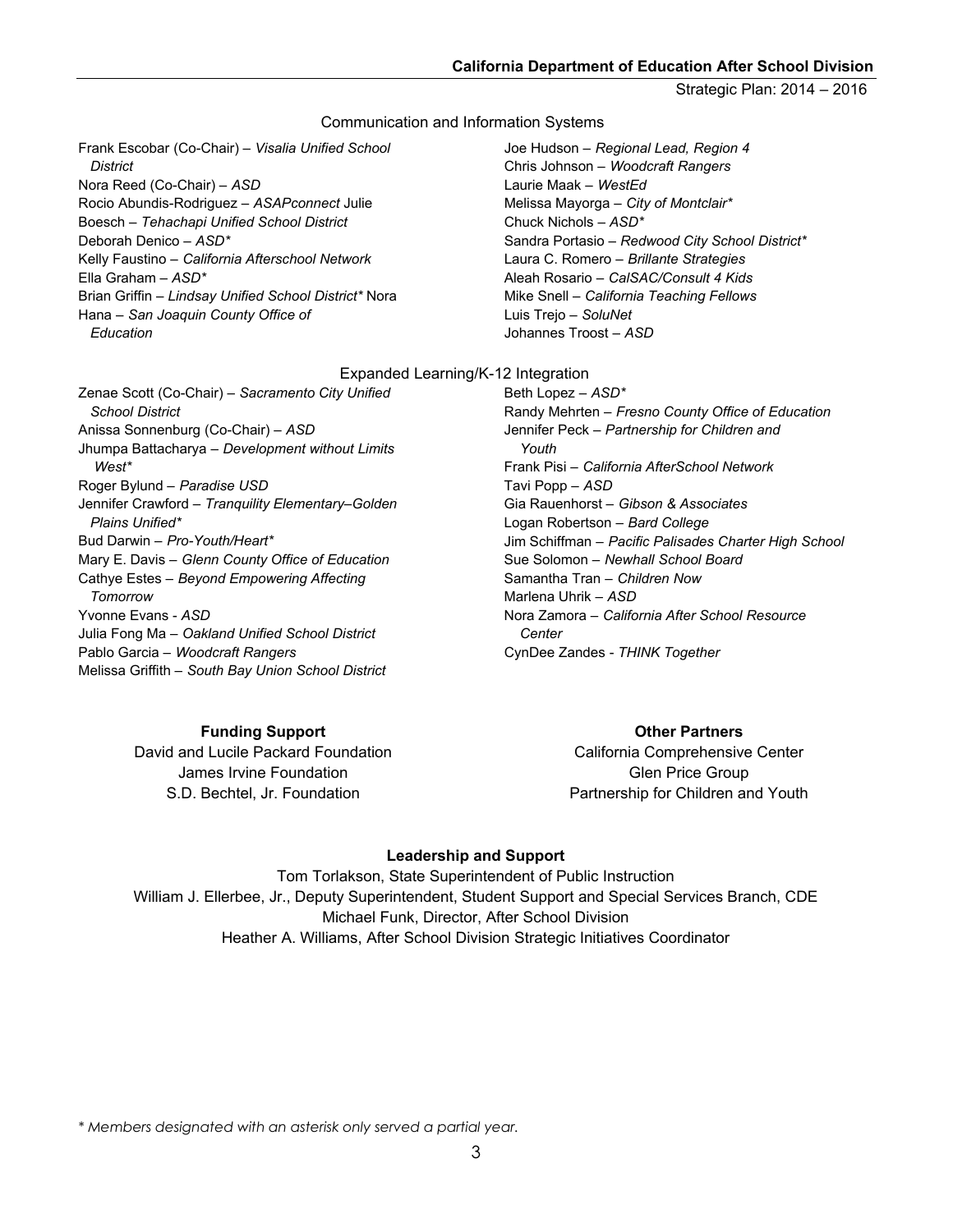#### Communication and Information Systems

 Frank Escobar (Co-Chair) – *Visalia Unified School*  Nora Reed (Co-Chair) – *ASD*  Boesch – *Tehachapi Unified School District*  Ella Graham *– ASD\**  Brian Griffin *– Lindsay Unified School District\** Nora Hana – *San Joaquin County Office of District*  Rocio Abundis-Rodriguez – *ASAPconnect* Julie Deborah Denico – *ASD\**  Kelly Faustino – *California Afterschool Network Education* 

 Joe Hudson – *Regional Lead, Region 4*  Chris Johnson – *Woodcraft Rangers*  Laurie Maak – *WestEd*  Melissa Mayorga – *City of Montclair\**  Chuck Nichols *– ASD\**  Sandra Portasio *– Redwood City School District\**  Laura C. Romero – *Brillante Strategies*  Aleah Rosario – *CalSAC/Consult 4 Kids*  Luis Trejo – *SoluNet*  Johannes Troost – *ASD*  Mike Snell – *California Teaching Fellows* 

#### Expanded Learning/K-12 Integration

 Zenae Scott (Co-Chair) – *Sacramento City Unified*  Anissa Sonnenburg (Co-Chair) – *ASD*  Jhumpa Battacharya – *Development without Limits*  Roger Bylund – *Paradise USD*  Jennifer Crawford – *Tranquility Elementary–Golden*  Bud Darwin – *Pro-Youth/Heart\**  Cathye Estes – *Beyond Empowering Affecting*  Yvonne Evans - *ASD*  Julia Fong Ma – *Oakland Unified School District*  Pablo Garcia – *Woodcraft Rangers*  Melissa Griffith – *South Bay Union School District School District West\* Plains Unified\**  Mary E. Davis – *Glenn County Office of Education Tomorrow* 

#### **Funding Support**

David and Lucile Packard Foundation James Irvine Foundation S.D. Bechtel, Jr. Foundation

 Beth Lopez – *ASD\**  Randy Mehrten – *Fresno County Office of Education*  Jennifer Peck – *Partnership for Children and*  Frank Pisi – *California AfterSchool Network*  Tavi Popp – *ASD*  Gia Rauenhorst – *Gibson & Associates*  Logan Robertson – *Bard College*  Jim Schiffman – *Pacific Palisades Charter High School*  Sue Solomon – *Newhall School Board*  Samantha Tran – *Children Now*  Marlena Uhrik – *ASD*  Nora Zamora – *California After School Resource*  CynDee Zandes - *THINK Together Youth Center* 

#### **Other Partners**

California Comprehensive Center Glen Price Group Partnership for Children and Youth

#### **Leadership and Support**

 William J. Ellerbee, Jr., Deputy Superintendent, Student Support and Special Services Branch, CDE Michael Funk, Director, After School Division Heather A. Williams, After School Division Strategic Initiatives Coordinator Tom Torlakson, State Superintendent of Public Instruction

*\* Members designated with an asterisk only served a partial year.*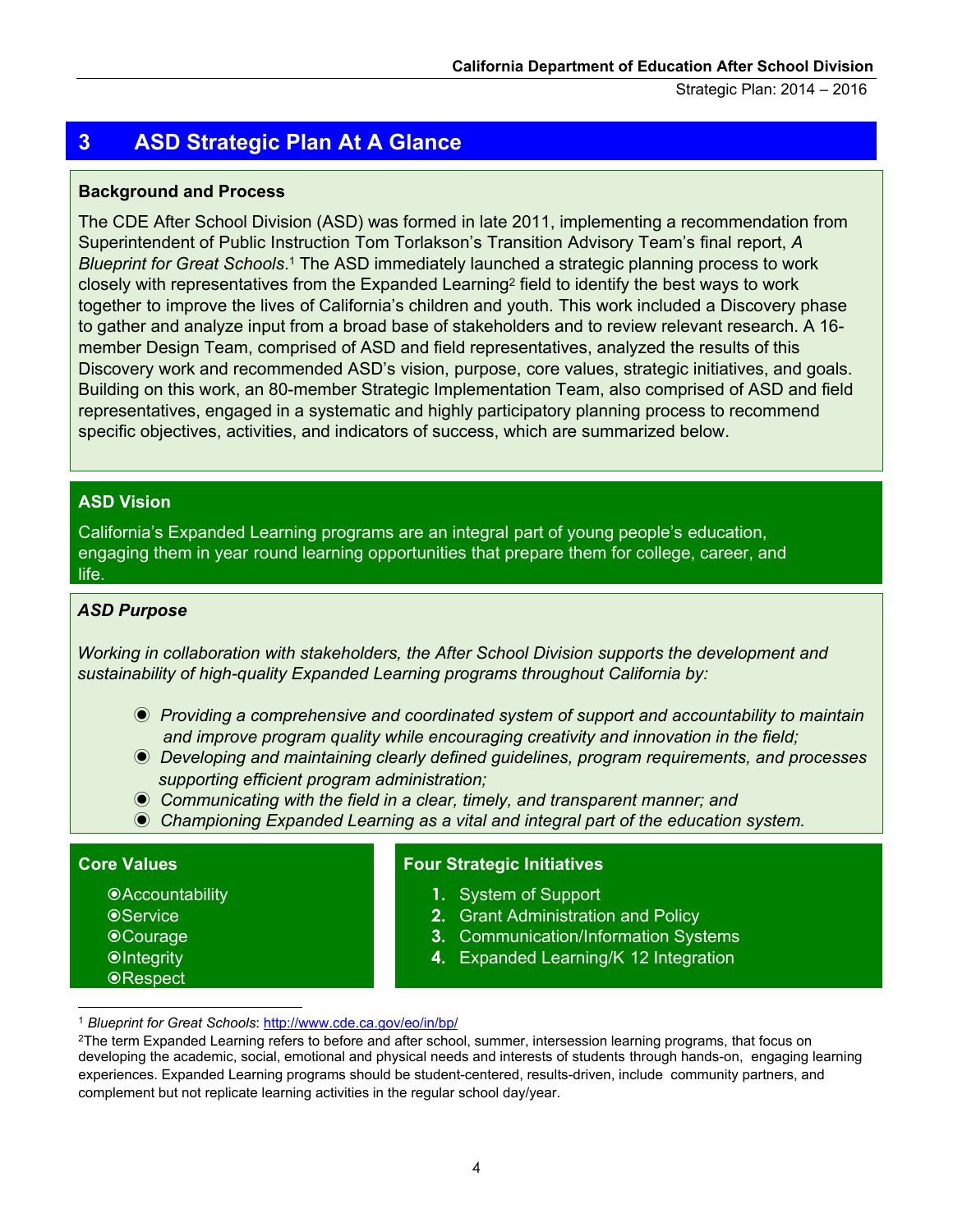## **3 ASD Strategic Plan At A Glance**

#### **Background and Process**

 The CDE After School Division (ASD) was formed in late 2011, implementing a recommendation from Superintendent of Public Instruction Tom Torlakson's Transition Advisory Team's final report, *A*  closely with representatives from the Expanded Learning<sup>2</sup> field to identify the best ways to work together to improve the lives of California's children and youth. This work included a Discovery phase to gather and analyze input from a broad base of stakeholders and to review relevant research. A 16- member Design Team, comprised of ASD and field representatives, analyzed the results of this Discovery work and recommended ASD's vision, purpose, core values, strategic initiatives, and goals. Building on this work, an 80-member Strategic Implementation Team, also comprised of ASD and field representatives, engaged in a systematic and highly participatory planning process to recommend specific objectives, activities, and indicators of success, which are summarized below. *Blueprint for Great Schools*.1 The ASD immediately launched a strategic planning process to work rovethe lives of California's children and y<br>analyze input from a broad base of stakeho<br>n Team, comprised of ASD and field represent and recommended ASD's vision, purpose<br>work, an 80-member Strategic Implement<br>i, engaged

#### **ASD Vision**

engaging them in year round learning opportunities that prepare them for college, career, and California's Expanded Learning programs are an integral part of young people's education, life.

#### **ASDASD Purpose Purpose**  *ASD Purpose*

 *Working in collaboration with stakeholders, the After School Division supports the development and sustainability of high-quality Expanded Learning programs throughout California by:*

- ◉ *Providing a comprehensive and coordinated system of support and accountability to maintain and improve program quality while encouraging creativity and innovation in the field;*
- ◉ *Developing and maintaining clearly defined guidelines, program requirements, and processes supporting efficient program administration;*
- *Communicating with the field in a clear, timely, and transparent manner; and*  ◉ *Communicating with the field in a clear, timely, and transparent manner; and*
- *Championing Expanded Learning as a vital and integral part of the education system.*  ◉ *Championing Expanded Learning as a vital and integral part of the education system.*

#### **Core Values**

 $\overline{a}$ 

*<u></u>*Accountability **OService** Courage **Olntegrity ORespect** 

#### **Four Strategic Initiatives**

- **1.** System of Support
- **2.** Grant Administration and Policy
- **3.** Communication/Information Systems
- 4. Expanded Learning/K 12 Integration

<sup>1</sup>*Blueprint for Great Schools*: http://www.cde.ca.gov/eo/in/bp/

 experiences. Expanded Learning programs should be student-centered, results-driven, include community partners, and developing the academic, social, emotional and physical needs and interests of students through hands-on, engaging learning <sup>2</sup>The term Expanded Learning refers to before and after school, summer, intersession learning programs, that focus on complement but not replicate learning activities in the regular school day/year.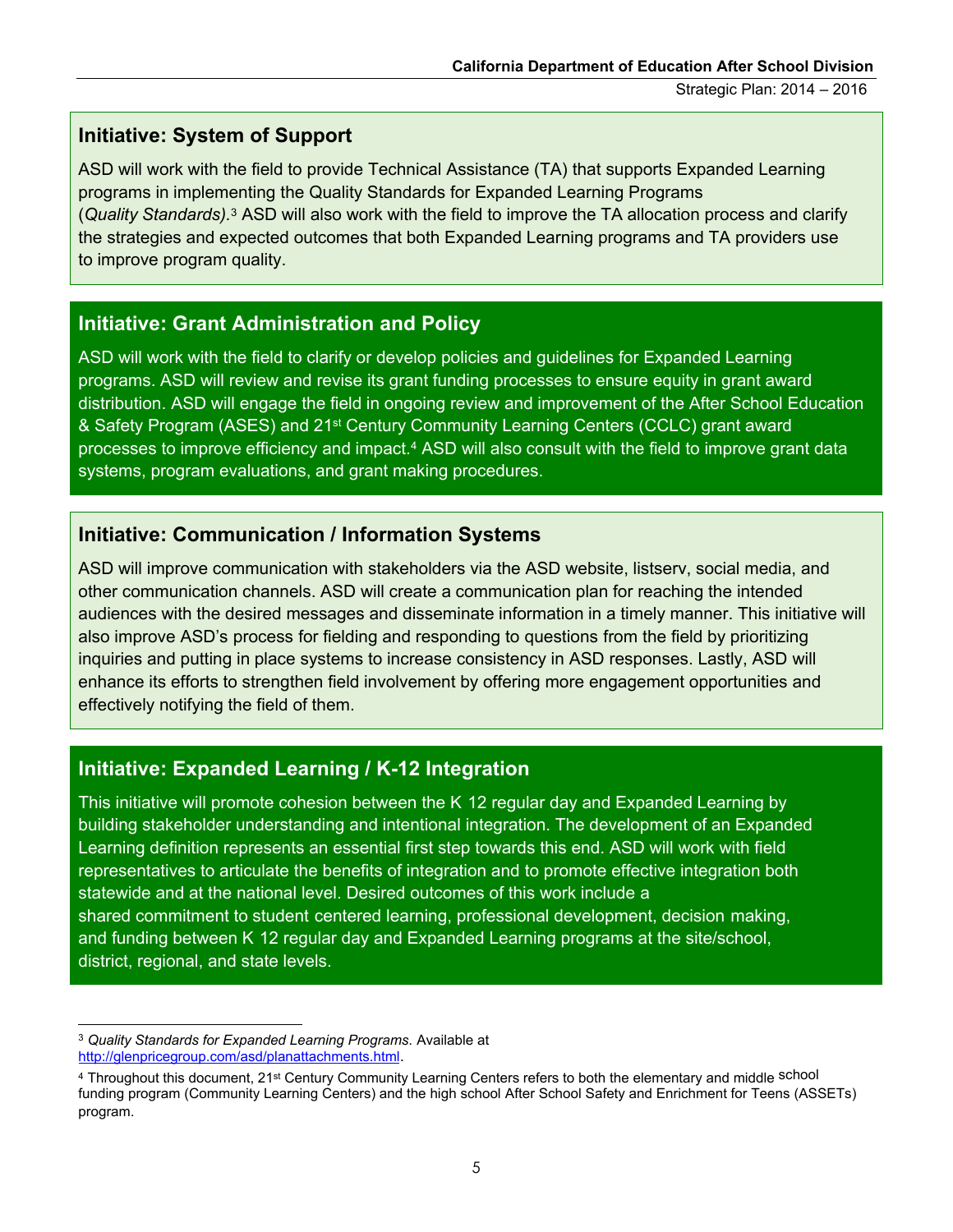## **Initiative: System of Support**

 ASD will work with the field to provide Technical Assistance (TA) that supports Expanded Learning programs in implementing the Quality Standards for Expanded Learning Programs (*Quality Standards).* 3 ASD will also work with the field to improve the TA allocation process and clarify the strategies and expected outcomes that both Expanded Learning programs and TA providers use to improve program quality.

#### **Initiative: Grant Administration and Policy**

 ASD will work with the field to clarify or develop policies and guidelines for Expanded Learning programs. ASD will review and revise its grant funding processes to ensure equity in grant award distribution. ASD will engage the field in ongoing review and improvement of the After School Education & Safety Program (ASES) and 21<sup>st</sup> Century Community Learning Centers (CCLC) grant award processes to improve efficiency and impact.4 ASD will also consult with the field to improve grant data **California Department of Education After School Division**<br>
Strategic Plan: 2014 – 2016<br> **Technical Assistance (TA) that supports Expanded Learning**<br> **California Standards for Expanded Learning Programs**<br> **Califormation** C systems, program evaluations, and grant making procedures.

#### **Initiative: Communication / Information Systems**

 ASD will improve communication with stakeholders via the ASD website, listserv, social media, and other communication channels. ASD will create a communication plan for reaching the intended audiences with the desired messages and disseminate information in a timely manner. This initiative will also improve ASD's process for fielding and responding to questions from the field by prioritizing enhance its efforts to strengthen field involvement by offering more engagement opportunities and inquiries and putting in place systems to increase consistency in ASD responses. Lastly, ASD will effectively notifying the field of them.

#### **Initiative: Expanded Learning / K-12 Integration**

This initiative will promote cohesion between the K 12 regular day and Expanded Learning by building stakeholder understanding and intentional integration. The development of an Expanded Learning definition represents an essential first step towards this end. ASD will work with field representatives to articulate the benefits of integration and to promote effective integration both statewide and at the national level. Desired outcomes of this work include a shared commitment to student centered learning, professional development, decision making, and funding between K 12 regular day and Expanded Learning programs at the site/school, district, regional, and state levels.

 <sup>3</sup>*Quality Standards for Expanded Learning Programs*. Available at [http://glenpricegroup.com/asd/planattachments.html.](http://glenpricegroup.com/asd/planattachments.html) 

<sup>&</sup>lt;sup>4</sup> Throughout this document, 21<sup>st</sup> Century Community Learning Centers refers to both the elementary and middle school funding program (Community Learning Centers) and the high school After School Safety and Enrichment for Teens (ASSETs) program.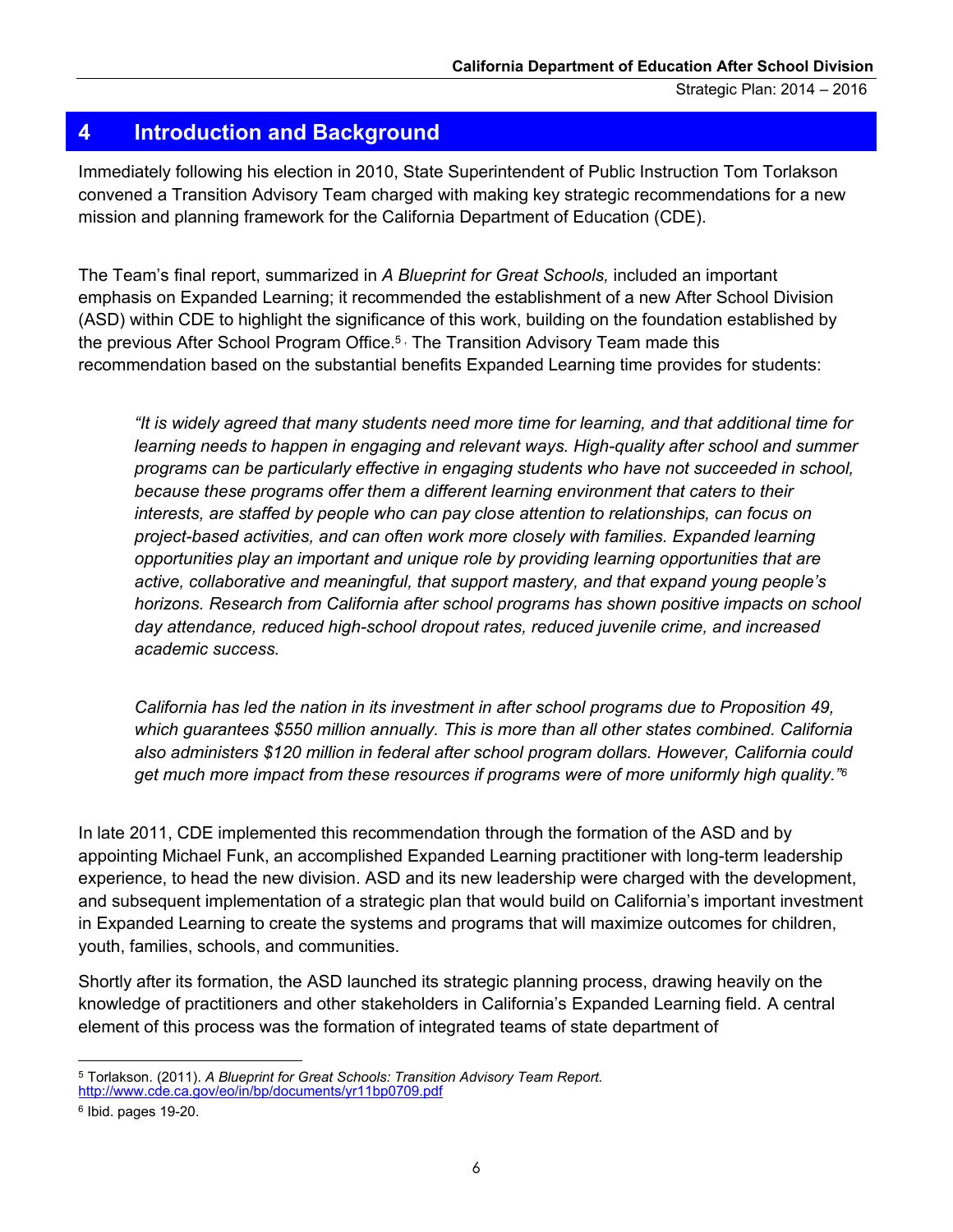#### <span id="page-8-0"></span>**4 Introduction and Background**

 convened a Transition Advisory Team charged with making key strategic recommendations for a new mission and planning framework for the California Department of Education (CDE). Immediately following his election in 2010, State Superintendent of Public Instruction Tom Torlakson

 The Team's final report, summarized in *A Blueprint for Great Schools,* included an important emphasis on Expanded Learning; it recommended the establishment of a new After School Division (ASD) within CDE to highlight the significance of this work, building on the foundation established by the previous After School Program Office.<sup>5</sup> , The Transition Advisory Team made this recommendation based on the substantial benefits Expanded Learning time provides for students:

 *"It is widely agreed that many students need more time for learning, and that additional time for*  learning needs to happen in engaging and relevant ways. High-quality after school and summer  *programs can be particularly effective in engaging students who have not succeeded in school,*  because these programs offer them a different learning environment that caters to their  *interests, are staffed by people who can pay close attention to relationships, can focus on project-based activities, and can often work more closely with families. Expanded learning opportunities play an important and unique role by providing learning opportunities that are horizons. Research from California after school programs has shown positive impacts on school day attendance, reduced high-school dropout rates, reduced juvenile crime, and increased*  following his election<br>Transition Advisory Te<br>planning framework fo<br>planning framework fo<br>final report, summariz<br>a Expanded Learning;<br>a CDE to highlight the after School Program<br>ation based on the sult<br>widely agreed that m *active, collaborative and meaningful, that support mastery, and that expand young people's academic success.* 

 *California has led the nation in its investment in after school programs due to Proposition 49,*  which guarantees \$550 million annually. This is more than all other states combined. California  *also administers \$120 million in federal after school program dollars. However, California could get much more impact from these resources if programs were of more uniformly high quality."6* 

 In late 2011, CDE implemented this recommendation through the formation of the ASD and by appointing Michael Funk, an accomplished Expanded Learning practitioner with long-term leadership experience, to head the new division. ASD and its new leadership were charged with the development, in Expanded Learning to create the systems and programs that will maximize outcomes for children, and subsequent implementation of a strategic plan that would build on California's important investment youth, families, schools, and communities.

 Shortly after its formation, the ASD launched its strategic planning process, drawing heavily on the knowledge of practitioners and other stakeholders in California's Expanded Learning field. A central element of this process was the formation of integrated teams of state department of

 5 Torlakson. (2011). *A Blueprint for Great Schools: Transition Advisory Team Report.*  <http://www.cde.ca.gov/eo/in/bp/documents/yr11bp0709.pdf>

<sup>6</sup> Ibid. pages 19-20.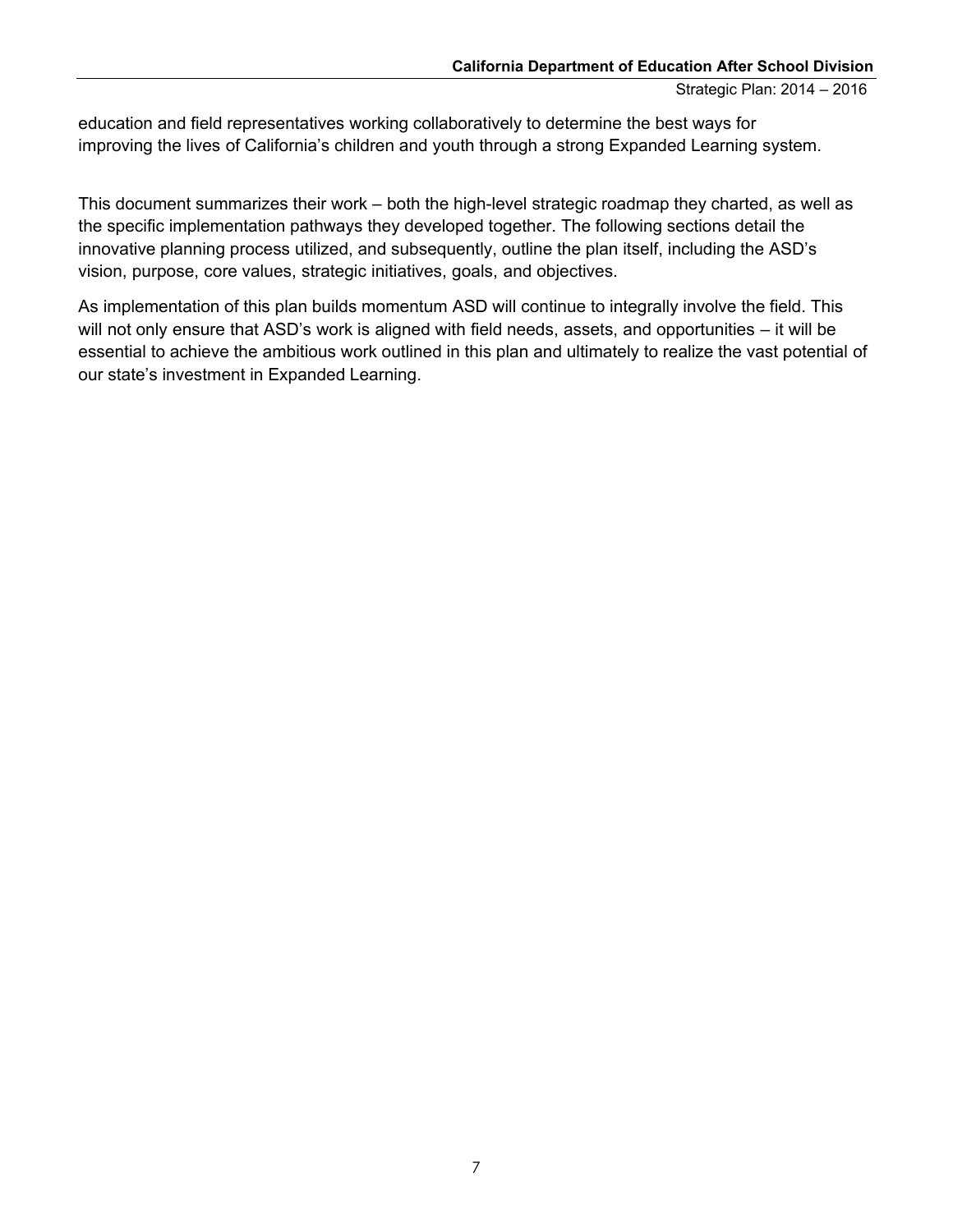education and field representatives working collaboratively to determine the best ways for improving the lives of California's children and youth through a strong Expanded Learning system.

 This document summarizes their work – both the high-level strategic roadmap they charted, as well as the specific implementation pathways they developed together. The following sections detail the innovative planning process utilized, and subsequently, outline the plan itself, including the ASD's vision, purpose, core values, strategic initiatives, goals, and objectives.

f will not only ensure that ASD's work is aligned with field needs, assets, and opportunities – it will be essential to achieve the ambitious work outlined in this plan and ultimately to realize the vast potential of purpose, core<br>ementation of<br>only ensure th As implementation of this plan builds momentum ASD will continue to integrally involve the field. This our state's investment in Expanded Learning.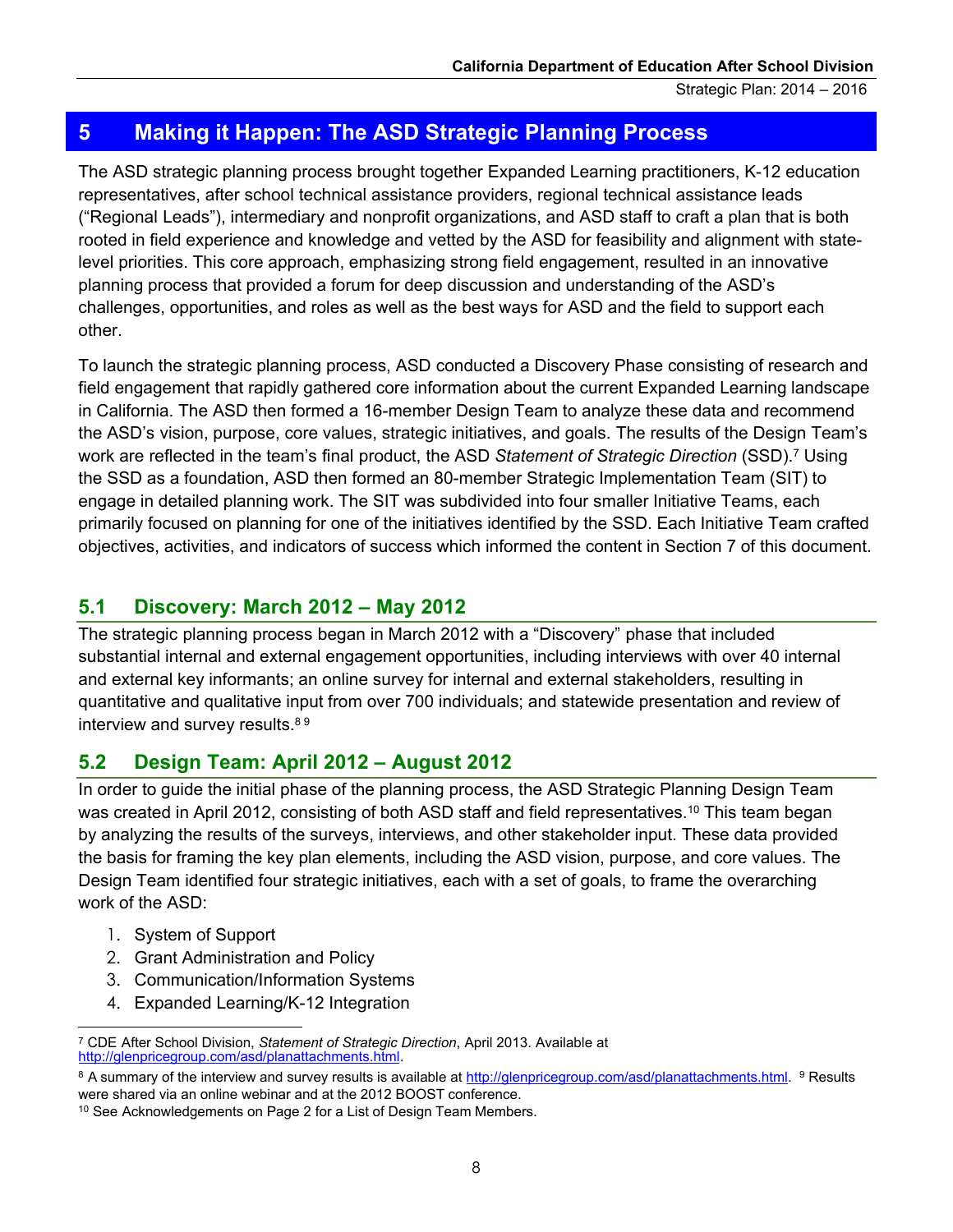## <span id="page-10-0"></span> **5 Making it Happen: The ASD Strategic Planning Process**

 representatives, after school technical assistance providers, regional technical assistance leads ("Regional Leads"), intermediary and nonprofit organizations, and ASD staff to craft a plan that is both rooted in field experience and knowledge and vetted by the ASD for feasibility and alignment with state- level priorities. This core approach, emphasizing strong field engagement, resulted in an innovative challenges, opportunities, and roles as well as the best ways for ASD and the field to support each The ASD strategic planning process brought together Expanded Learning practitioners, K-12 education planning process that provided a forum for deep discussion and understanding of the ASD's other.

 To launch the strategic planning process, ASD conducted a Discovery Phase consisting of research and field engagement that rapidly gathered core information about the current Expanded Learning landscape in California. The ASD then formed a 16-member Design Team to analyze these data and recommend the ASD's vision, purpose, core values, strategic initiatives, and goals. The results of the Design Team's work are reflected in the team's final product, the ASD *Statement of Strategic Direction* (SSD).7 Using the SSD as a foundation, ASD then formed an 80-member Strategic Implementation Team (SIT) to engage in detailed planning work. The SIT was subdivided into four smaller Initiative Teams, each primarily focused on planning for one of the initiatives identified by the SSD. Each Initiative Team crafted objectives, activities, and indicators of success which informed the content in Section 7 of this document. *Direo*<br>htatio<br>itiativ<br>ach I<br>Sectio<br>Perthat

#### **5.1 Discovery: March 2012 – May 2012**

 substantial internal and external engagement opportunities, including interviews with over 40 internal and external key informants; an online survey for internal and external stakeholders, resulting in quantitative and qualitative input from over 700 individuals; and statewide presentation and review of The strategic planning process began in March 2012 with a "Discovery" phase that included interview and survey results.<sup>89</sup>

#### **5.2 Design Team: April 2012 – August 2012**

 In order to guide the initial phase of the planning process, the ASD Strategic Planning Design Team was created in April 2012, consisting of both ASD staff and field representatives.<sup>10</sup> This team began by analyzing the results of the surveys, interviews, and other stakeholder input. These data provided the basis for framing the key plan elements, including the ASD vision, purpose, and core values. The Design Team identified four strategic initiatives, each with a set of goals, to frame the overarching work of the ASD:

1. System of Support

 $\overline{a}$ 

- 2. Grant Administration and Policy
- 3. Communication/Information Systems
- 4. Expanded Learning/K-12 Integration

 7 CDE After School Division, *Statement of Strategic Direction*, April 2013. Available at [http://glenpricegroup.com/asd/planattachments.html.](http://glenpricegroup.com/asd/planattachments.html) 

<sup>8</sup> A summary of the interview and survey results is available at http://glenpricegroup.com/asd/planattachments.html. 9 Results

were shared via an online webinar and at the 2012 BOOST conference.<br><sup>10</sup> See Acknowledgements on Page 2 for a List of Design Team Members.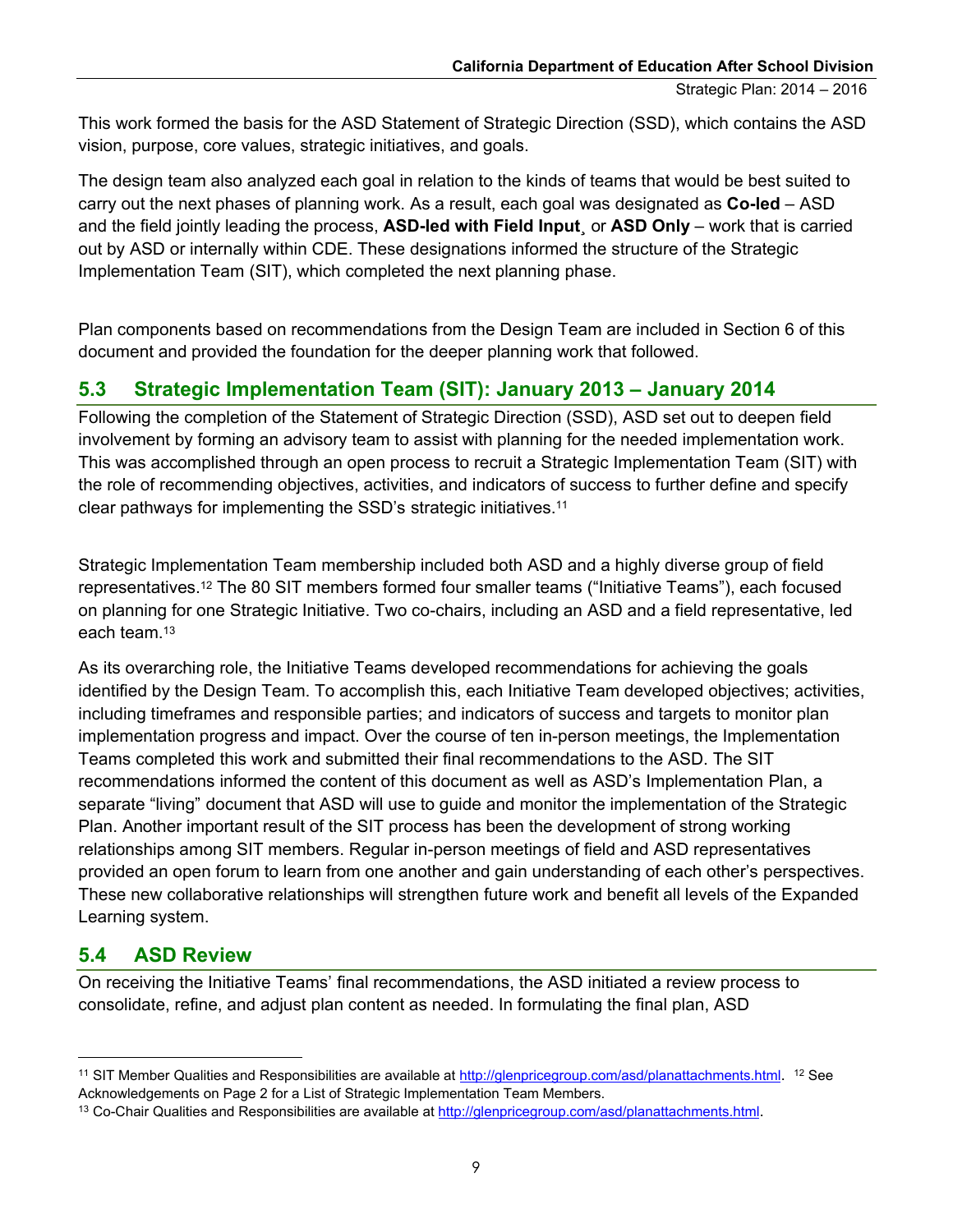<span id="page-11-0"></span> This work formed the basis for the ASD Statement of Strategic Direction (SSD), which contains the ASD vision, purpose, core values, strategic initiatives, and goals.

 The design team also analyzed each goal in relation to the kinds of teams that would be best suited to carry out the next phases of planning work. As a result, each goal was designated as **Co-led** – ASD and the field jointly leading the process, **ASD-led with Field Input**¸ or **ASD Only** – work that is carried out by ASD or internally within CDE. These designations informed the structure of the Strategic Implementation Team (SIT), which completed the next planning phase.

 Plan components based on recommendations from the Design Team are included in Section 6 of this document and provided the foundation for the deeper planning work that followed.

## **5.3 Strategic Implementation Team (SIT): January 2013 – January 2014**

 Following the completion of the Statement of Strategic Direction (SSD), ASD set out to deepen field involvement by forming an advisory team to assist with planning for the needed implementation work. This was accomplished through an open process to recruit a Strategic Implementation Team (SIT) with the role of recommending objectives, activities, and indicators of success to further define and specify clear pathways for implementing the SSD's strategic initiatives.11

 Strategic Implementation Team membership included both ASD and a highly diverse group of field representatives.12 The 80 SIT members formed four smaller teams ("Initiative Teams"), each focused on planning for one Strategic Initiative. Two co-chairs, including an ASD and a field representative, led each team.13

 As its overarching role, the Initiative Teams developed recommendations for achieving the goals identified by the Design Team. To accomplish this, each Initiative Team developed objectives; activities, including timeframes and responsible parties; and indicators of success and targets to monitor plan implementation progress and impact. Over the course of ten in-person meetings, the Implementation Teams completed this work and submitted their final recommendations to the ASD. The SIT recommendations informed the content of this document as well as ASD's Implementation Plan, a separate "living" document that ASD will use to guide and monitor the implementation of the Strategic Plan. Another important result of the SIT process has been the development of strong working relationships among SIT members. Regular in-person meetings of field and ASD representatives provided an open forum to learn from one another and gain understanding of each other's perspectives. These new collaborative relationships will strengthen future work and benefit all levels of the Expanded Learning system.

#### **5.4 ASD Review**

 $\overline{a}$ 

 On receiving the Initiative Teams' final recommendations, the ASD initiated a review process to consolidate, refine, and adjust plan content as needed. In formulating the final plan, ASD

 Acknowledgements on Page 2 for a List of Strategic Implementation Team Members. <sup>11</sup> SIT Member Qualities and Responsibilities are available at http://glenpricegroup.com/asd/planattachments.html. <sup>12</sup> See

<sup>&</sup>lt;sup>13</sup> Co-Chair Qualities and Responsibilities are available at http://glenpricegroup.com/asd/planattachments.html.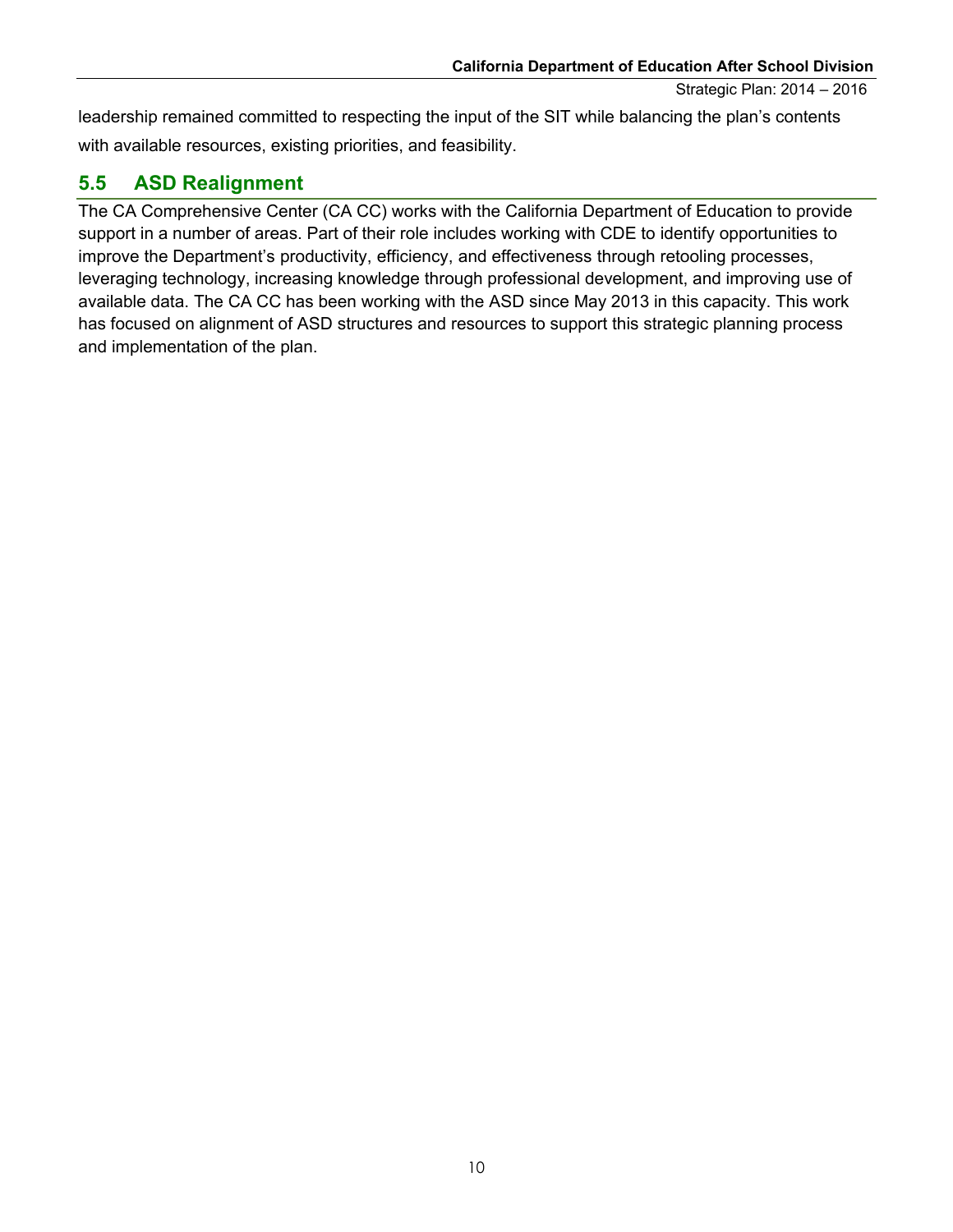with available resources, existing priorities, and feasibility. leadership remained committed to respecting the input of the SIT while balancing the plan's contents

## **5.5 ASD Realignment**

<span id="page-12-0"></span> The CA Comprehensive Center (CA CC) works with the California Department of Education to provide support in a number of areas. Part of their role includes working with CDE to identify opportunities to improve the Department's productivity, efficiency, and effectiveness through retooling processes, available data. The CA CC has been working with the ASD since May 2013 in this capacity. This work has focused on alignment of ASD structures and resources to support this strategic planning process and implementation of the plan. **California Department of Education After School Division**<br>
Strategic Plan: 2014 – 2016<br>
resources, existing priorities, and feasibility.<br> **Realignment**<br>
rehensive Center (CA CC) works with the California Department of Edu leveraging technology, increasing knowledge through professional development, and improving use of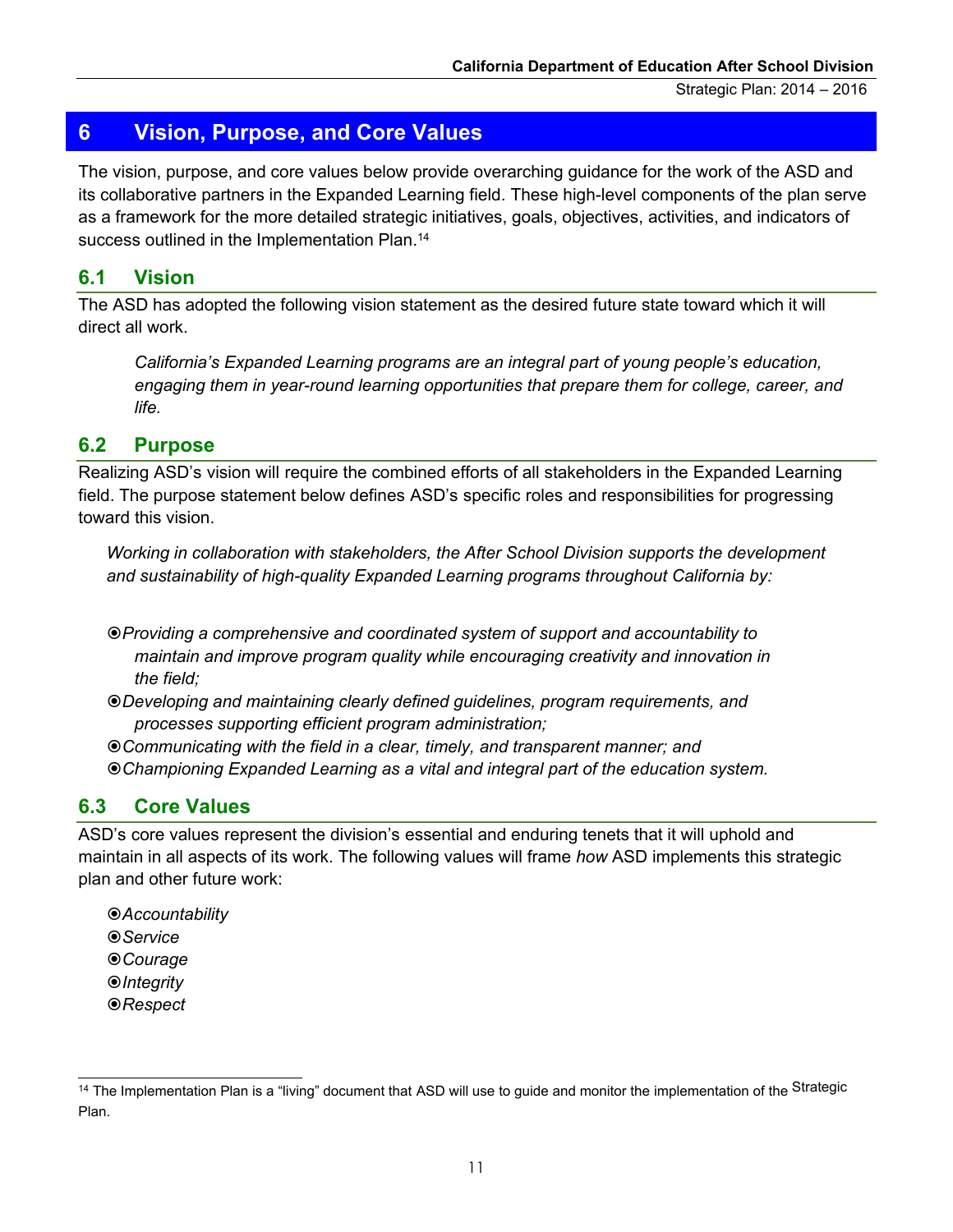## <span id="page-13-0"></span>**6 Vision, Purpose, and Core Values**

 The vision, purpose, and core values below provide overarching guidance for the work of the ASD and as a framework for the more detailed strategic initiatives, goals, objectives, activities, and indicators of success outlined in the Implementation Plan.<sup>14</sup> its collaborative partners in the Expanded Learning field. These high-level components of the plan serve

#### **6.1 Vision**

 direct all work. The ASD has adopted the following vision statement as the desired future state toward which it will

 *engaging them in year-round learning opportunities that prepare them for college, career, and California's Expanded Learning programs are an integral part of young people's education, life.* 

#### **6.2 Purpose**

 Realizing ASD's vision will require the combined efforts of all stakeholders in the Expanded Learning Realizing ASD's vision will require the combined efforts of all stakeholders in the Expanded Learning<br>field. The purpose statement below defines ASD's specific roles and responsibilities for progressing toward this vision.

Working in collaboration with stakeholders, the After School Division supports the development *and sustainability of high-quality Expanded Learning programs throughout California by:* 

 *Providing a comprehensive and coordinated system of support and accountability to maintain and improve program quality while encouraging creativity and innovation in the field;* 

*Developing and maintaining clearly defined guidelines, program requirements, and processes supporting efficient program administration;* 

 *Communicating with the field in a clear, timely, and transparent manner; and Championing Expanded Learning as a vital and integral part of the education system.* 

#### **6.3 Core Values**

 maintain in all aspects of its work. The following values will frame *how* ASD implements this strategic ASD's core values represent the division's essential and enduring tenets that it will uphold and plan and other future work:

*Accountability Service Courage Integrity Respect* 

 $\overline{a}$ <sup>14</sup> The Implementation Plan is a "living" document that ASD will use to guide and monitor the implementation of the <sup>Strategic</sup> Plan.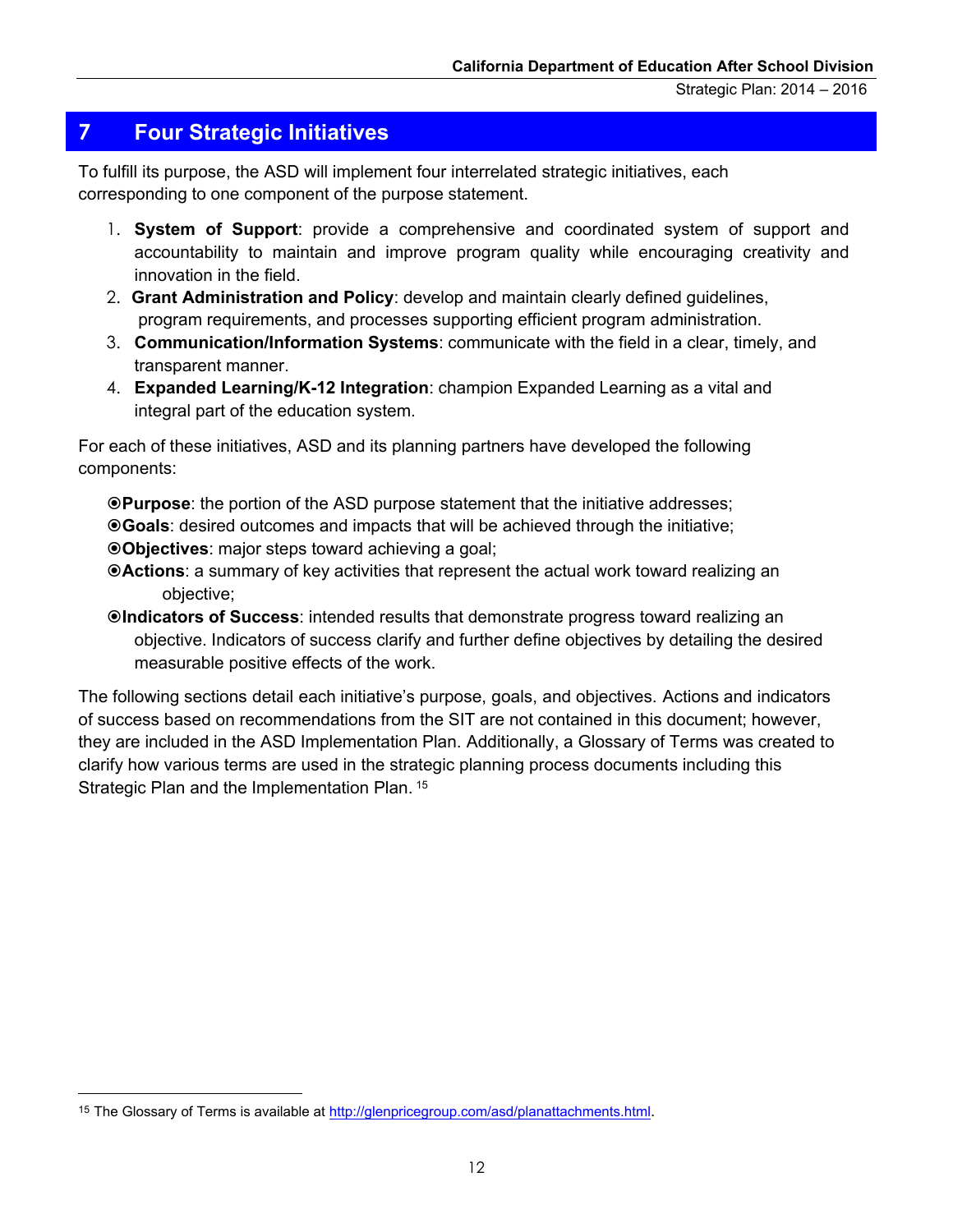## <span id="page-14-0"></span>**7 Four Strategic Initiatives**

 To fulfill its purpose, the ASD will implement four interrelated strategic initiatives, each corresponding to one component of the purpose statement.

- 1. **System of Support**: provide a comprehensive and coordinated system of support and accountability to maintain and improve program quality while encouraging creativity and innovation in the field.
- 2. **Grant Administration and Policy**: develop and maintain clearly defined guidelines, program requirements, and processes supporting efficient program administration.
- 3. **Communication/Information Systems**: communicate with the field in a clear, timely, and transparent manner.
- **Expanded Learning/K-12 Integration: only Communication/Information Syster**<br>transparent manner.<br>**Expanded Learning/K-12 Integratio**<br>integral part of the education system. 4. **Expanded Learning/K-12 Integration**: champion Expanded Learning as a vital and integral part of the education system.

For each of these initiatives, ASD and its planning partners have developed the following components:

 **Purpose**: the portion of the ASD purpose statement that the initiative addresses; **Goals**: desired outcomes and impacts that will be achieved through the initiative; **Objectives**: major steps toward achieving a goal;

- **Actions**: a summary of key activities that represent the actual work toward realizing an objective;
- **Indicators of Success**: intended results that demonstrate progress toward realizing an objective. Indicators of success clarify and further define objectives by detailing the desired System of Support: provide a comprehensive and coordinated system of succountability to maintain and improve program quality while encouraging cremovation in the field.<br>
Grant Administration and Policy: develop and maintai measurable positive effects of the work.

 The following sections detail each initiative's purpose, goals, and objectives. Actions and indicators of success based on recommendations from the SIT are not contained in this document; however, they are included in the ASD Implementation Plan. Additionally, a Glossary of Terms was created to clarify how various terms are used in the strategic planning process documents including this Strategic Plan and the Implementation Plan. 15

 $\overline{a}$ 

<sup>15</sup> The Glossary of Terms is available at http://glenpricegroup.com/asd/planattachments.html.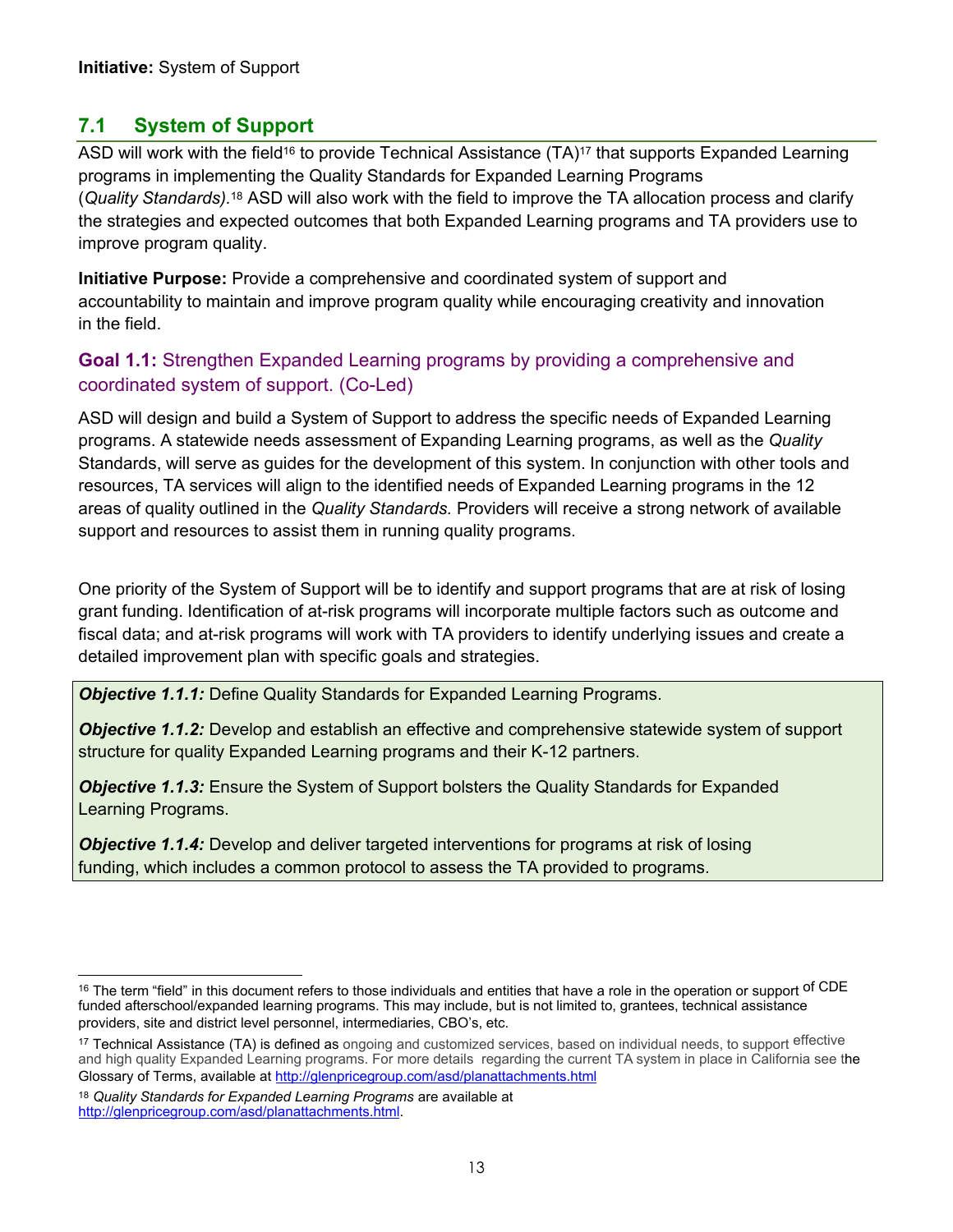## <span id="page-15-0"></span>**7.1 System of Support**

<span id="page-15-1"></span>ASD will work with the field<sup>16</sup> to provide Technical Assistance  $(TA)^{17}$  that supports Expanded Learning programs in implementing the Quality Standards for Expanded Learning Programs (*Quality Standards).*18 ASD will also work with the field to improve the TA allocation process and clarify the strategies and expected outcomes that both Expanded Learning programs and TA providers use to improve program quality.

 **Initiative Purpose:** Provide a comprehensive and coordinated system of support and accountability to maintain and improve program quality while encouraging creativity and innovation in the field.

#### coordinated system of support. (Co-Led) **Goal 1.1:** Strengthen Expanded Learning programs by providing a comprehensive and

 ASD will design and build a System of Support to address the specific needs of Expanded Learning programs. A statewide needs assessment of Expanding Learning programs, as well as the *Quality*  Standards, will serve as guides for the development of this system. In conjunction with other tools and resources, TA services will align to the identified needs of Expanded Learning programs in the 12 areas of quality outlined in the *Quality Standards.* Providers will receive a strong network of available support and resources to assist them in running quality programs.

 One priority of the System of Support will be to identify and support programs that are at risk of losing grant funding. Identification of at-risk programs will incorporate multiple factors such as outcome and fiscal data; and at-risk programs will work with TA providers to identify underlying issues and create a detailed improvement plan with specific goals and strategies.

*Objective 1.1.1:* Define Quality Standards for Expanded Learning Programs.

 structure for quality Expanded Learning programs and their K-12 partners. **Objective 1.1.2:** Develop and establish an effective and comprehensive statewide system of support

**Objective 1.1.3:** Ensure the System of Support bolsters the Quality Standards for Expanded Learning Programs.

 funding, which includes a common protocol to assess the TA provided to programs. *Objective 1.1.4:* Develop and deliver targeted interventions for programs at risk of losing

 <sup>16</sup> The term "field" in this document refers to those individuals and entities that have a role in the operation or support <sup>of CDE</sup> funded afterschool/expanded learning programs. This may include, but is not limited to, grantees, technical assistance providers, site and district level personnel, intermediaries, CBO's, etc.

<sup>&</sup>lt;sup>17</sup> Technical Assistance (TA) is defined as ongoing and customized services, based on individual needs, to support effective and high quality Expanded Learning programs. For more details regarding the current TA system in place in California see the Glossary of Terms, available at http://glenpricegroup[.com/asd/planattachments.html](http://glenpricegroup.com/asd/planattachments.html) 

<sup>18</sup>*Quality Standards for Expanded Learning Programs* are available at [http://glenpricegroup.com/asd/planattachments.html.](http://glenpricegroup.com/asd/planattachments.html)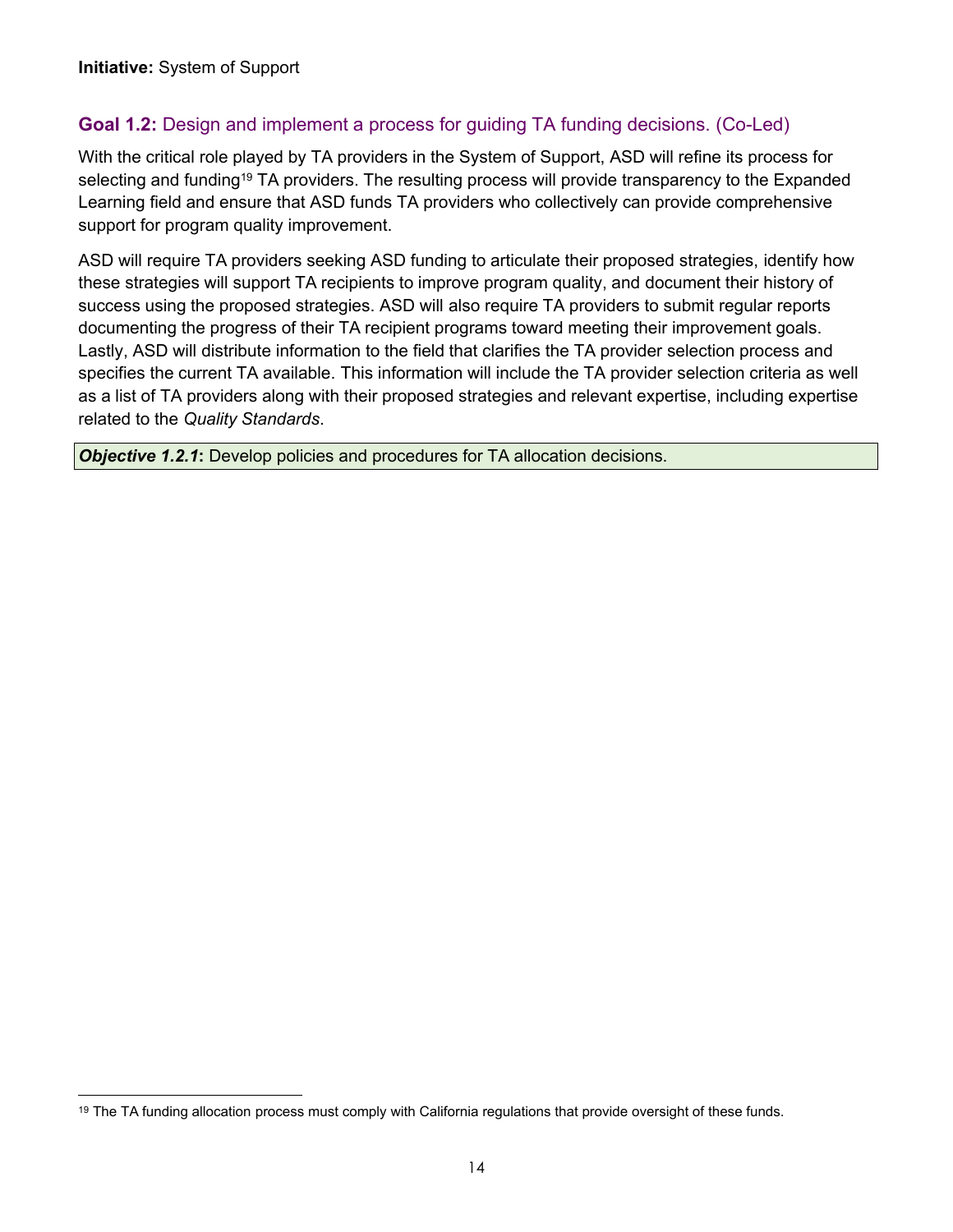## **Goal 1.2:** Design and implement a process for guiding TA funding decisions. (Co-Led)

 With the critical role played by TA providers in the System of Support, ASD will refine its process for selecting and funding<sup>19</sup> TA providers. The resulting process will provide transparency to the Expanded Learning field and ensure that ASD funds TA providers who collectively can provide comprehensive support for program quality improvement.

 ASD will require TA providers seeking ASD funding to articulate their proposed strategies, identify how these strategies will support TA recipients to improve program quality, and document their history of success using the proposed strategies. ASD will also require TA providers to submit regular reports documenting the progress of their TA recipient programs toward meeting their improvement goals. Lastly, ASD will distribute information to the field that clarifies the TA provider selection process and specifies the current TA available. This information will include the TA provider selection criteria as well as a list of TA providers along with their proposed strategies and relevant expertise, including expertise related to the *Quality Standards*.

**Objective 1.2.1:** Develop policies and procedures for TA allocation decisions.

<sup>&</sup>lt;sup>19</sup> The TA funding allocation process must comply with California regulations that provide oversight of these funds.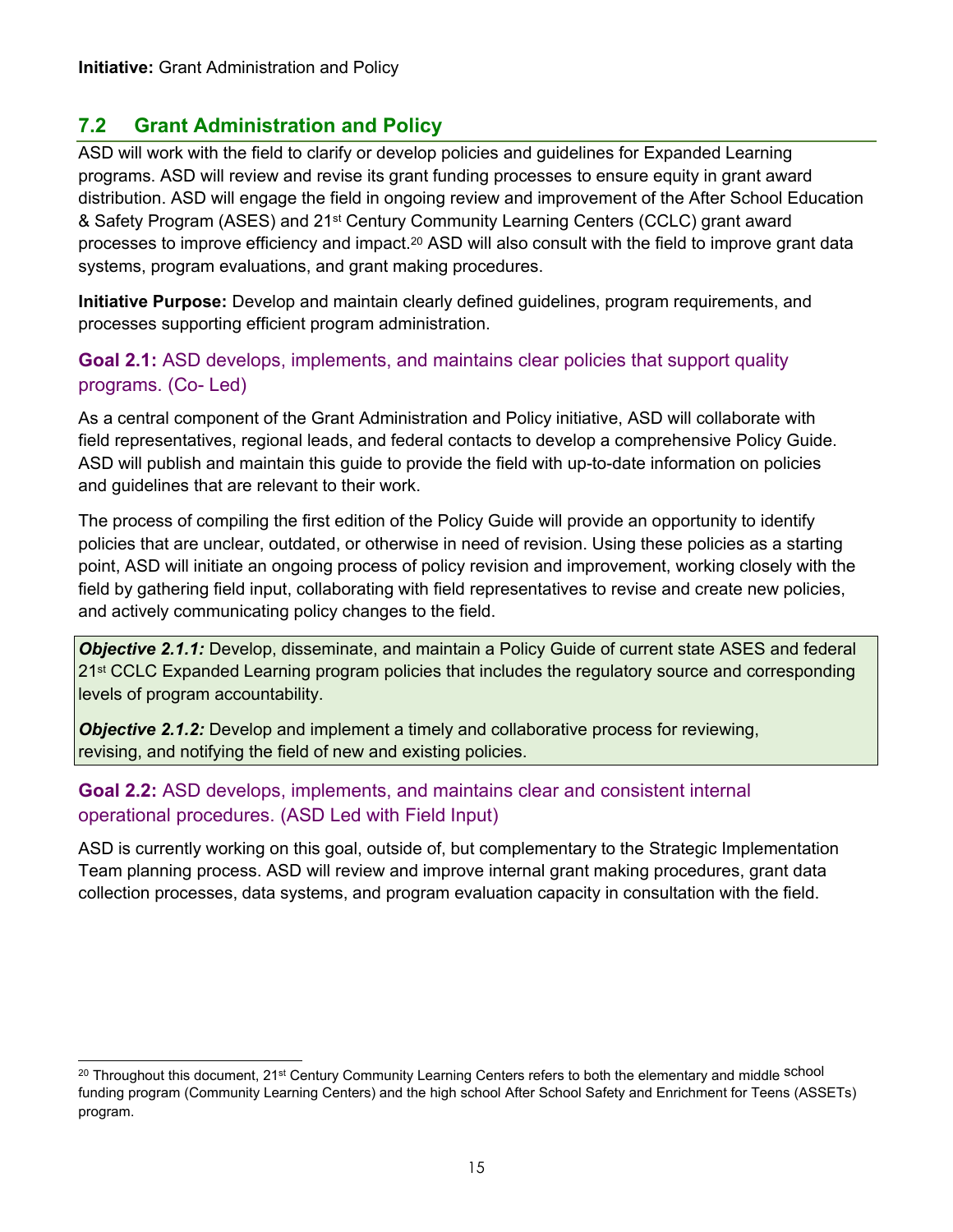## <span id="page-17-0"></span>**7.2 Grant Administration and Policy**

 ASD will work with the field to clarify or develop policies and guidelines for Expanded Learning programs. ASD will review and revise its grant funding processes to ensure equity in grant award distribution. ASD will engage the field in ongoing review and improvement of the After School Education & Safety Program (ASES) and 21st Century Community Learning Centers (CCLC) grant award processes to improve efficiency and impact.<sup>20</sup> ASD will also consult with the field to improve grant data systems, program evaluations, and grant making procedures.

 **Initiative Purpose:** Develop and maintain clearly defined guidelines, program requirements, and processes supporting efficient program administration.

#### **Goal 2.1:** ASD develops, implements, and maintains clear policies that support quality programs. (Co- Led)

 As a central component of the Grant Administration and Policy initiative, ASD will collaborate with field representatives, regional leads, and federal contacts to develop a comprehensive Policy Guide. ASD will publish and maintain this guide to provide the field with up-to-date information on policies and guidelines that are relevant to their work.

 The process of compiling the first edition of the Policy Guide will provide an opportunity to identify policies that are unclear, outdated, or otherwise in need of revision. Using these policies as a starting point, ASD will initiate an ongoing process of policy revision and improvement, working closely with the field by gathering field input, collaborating with field representatives to revise and create new policies, and actively communicating policy changes to the field.

21<sup>st</sup> CCLC Expanded Learning program policies that includes the regulatory source and corresponding *Objective 2.1.1:* Develop, disseminate, and maintain a Policy Guide of current state ASES and federal levels of program accountability.

*Objective 2.1.2:* Develop and implement a timely and collaborative process for reviewing, revising, and notifying the field of new and existing policies.

#### **Goal 2.2:** ASD develops, implements, and maintains clear and consistent internal operational procedures. (ASD Led with Field Input)

 ASD is currently working on this goal, outside of, but complementary to the Strategic Implementation Team planning process. ASD will review and improve internal grant making procedures, grant data collection processes, data systems, and program evaluation capacity in consultation with the field.

 <sup>20</sup> Throughout this document, 21<sup>st</sup> Century Community Learning Centers refers to both the elementary and middle <sup>School</sup> funding program (Community Learning Centers) and the high school After School Safety and Enrichment for Teens (ASSETs) program.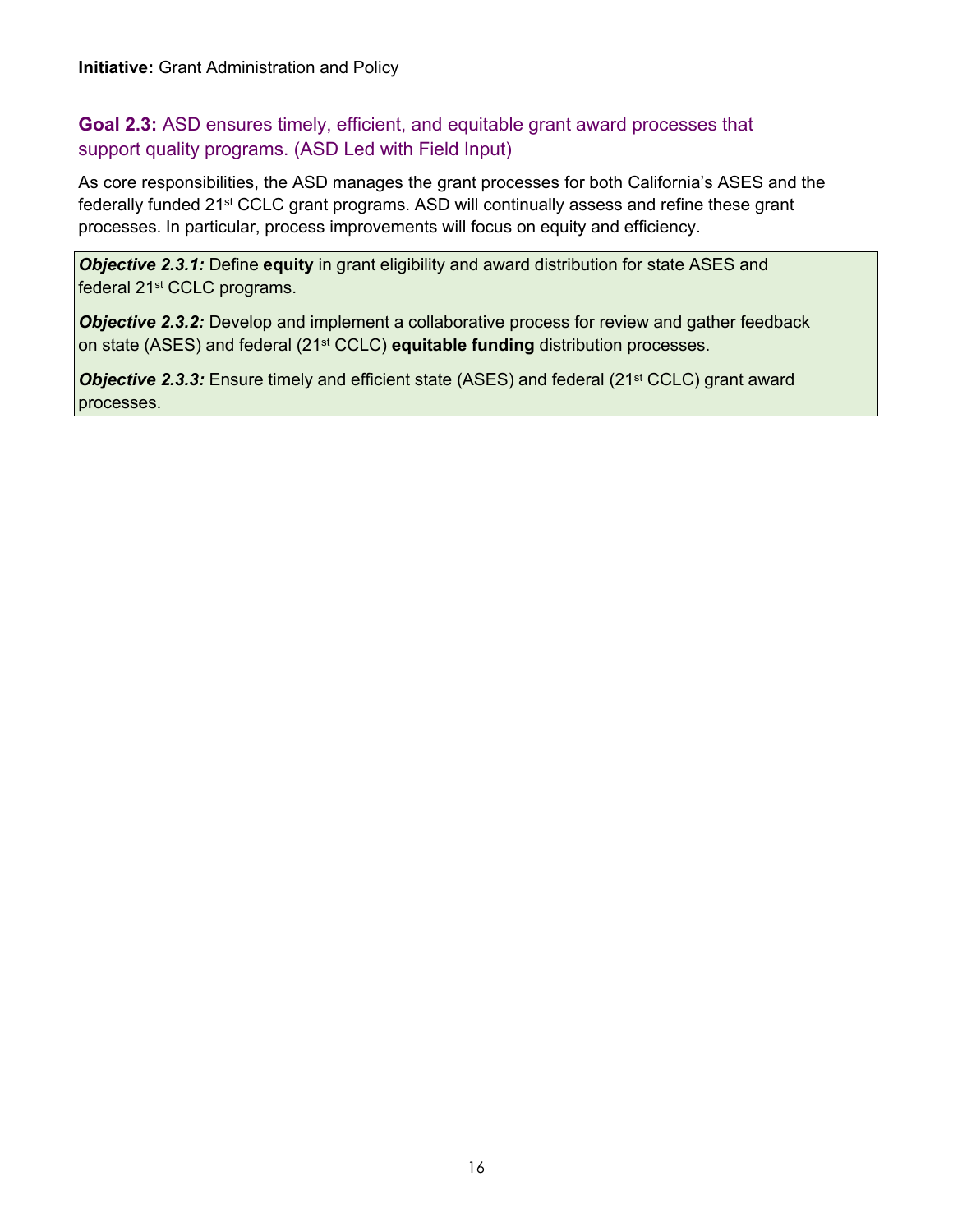# support quality programs. (ASD Led with Field Input) **Initiative:** Grant Administration and Policy<br>**Goal 2.3:** ASD ensures timely, efficient, al<br>support quality programs. (ASD Led with F<br>As core responsibilities, the ASD manages th **Goal 2.3:** ASD ensures timely, efficient, and equitable grant award processes that

 As core responsibilities, the ASD manages the grant processes for both California's ASES and the federally funded 21<sup>st</sup> CCLC grant programs. ASD will continually assess and refine these grant processes. In particular, process improvements will focus on equity and efficiency.

 *Objective 2.3.1:* Define **equity** in grant eligibility and award distribution for state ASES and federal 21<sup>st</sup> CCLC programs.

 *Objective 2.3.2:* Develop and implement a collaborative process for review and gather feedback on state (ASES) and federal (21st CCLC) **equitable funding** distribution processes.

**Objective 2.3.3:** Ensure timely and efficient state (ASES) and federal (21<sup>st</sup> CCLC) grant award processes.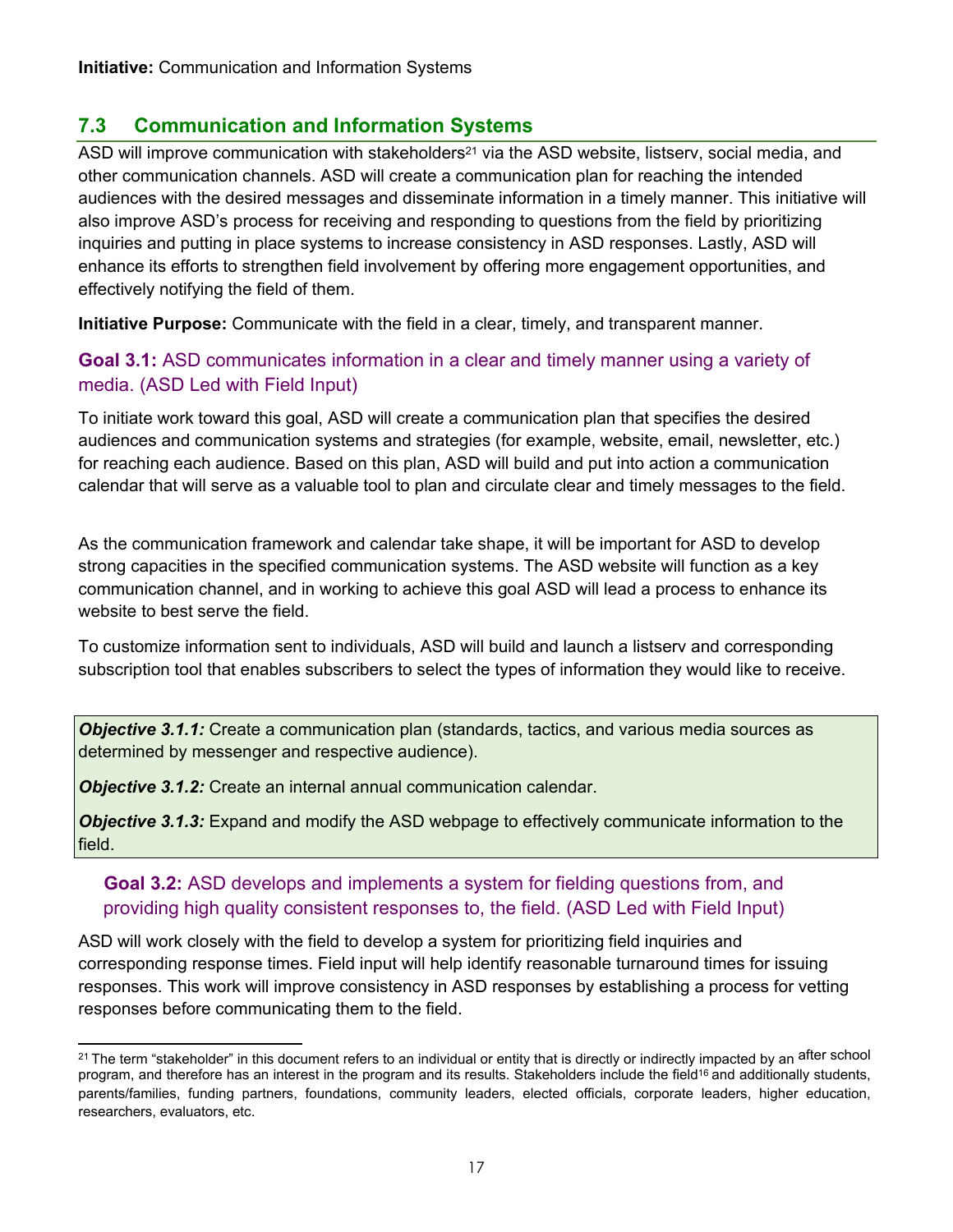## **7.3 Communication and Information Systems**

<span id="page-19-0"></span>ASD will improve communication with stakeholders<sup>21</sup> via the ASD website, listserv, social media, and other communication channels. ASD will create a communication plan for reaching the intended audiences with the desired messages and disseminate information in a timely manner. This initiative will also improve ASD's process for receiving and responding to questions from the field by prioritizing enhance its efforts to strengthen field involvement by offering more engagement opportunities, and Initiative: Communication and Information Systems<br> **7.3 Communication and Information Systems**<br>
ASD will improve communication with stakeholders<sup>21</sup><br>
other communication channels. ASD will create a conduction channels. ASD inquiries and putting in place systems to increase consistency in ASD responses. Lastly, ASD will effectively notifying the field of them.

**Initiative Purpose:** Communicate with the field in a clear, timely, and transparent manner.

#### media. (ASD Led with Field Input) **Goal 3.1:** ASD communicates information in a clear and timely manner using a variety of

 To initiate work toward this goal, ASD will create a communication plan that specifies the desired audiences and communication systems and strategies (for example, website, email, newsletter, etc.) for reaching each audience. Based on this plan, ASD will build and put into action a communication calendar that will serve as a valuable tool to plan and circulate clear and timely messages to the field.

 As the communication framework and calendar take shape, it will be important for ASD to develop strong capacities in the specified communication systems. The ASD website will function as a key communication channel, and in working to achieve this goal ASD will lead a process to enhance its website to best serve the field.

 To customize information sent to individuals, ASD will build and launch a listserv and corresponding subscription tool that enables subscribers to select the types of information they would like to receive.

 *Objective 3.1.1:* Create a communication plan (standards, tactics, and various media sources as determined by messenger and respective audience).

*Objective 3.1.2:* Create an internal annual communication calendar.

 *Objective 3.1.3:* Expand and modify the ASD webpage to effectively communicate information to the field.

#### providing high quality consistent responses to, the field. (ASD Led with Field Input) **Goal 3.2:** ASD develops and implements a system for fielding questions from, and

 ASD will work closely with the field to develop a system for prioritizing field inquiries and responses. This work will improve consistency in ASD responses by establishing a process for vetting corresponding response times. Field input will help identify reasonable turnaround times for issuing responses before communicating them to the field.

 <sup>21</sup> The term "stakeholder" in this document refers to an individual or entity that is directly or indirectly impacted by an <sup>after</sup> school program, and therefore has an interest in the program and its results. Stakeholders incl[ude](#page-15-1) the field<sup>16</sup> and additionally students, parents/families, funding partners, foundations, community leaders, elected officials, corporate leaders, higher education, researchers, evaluators, etc.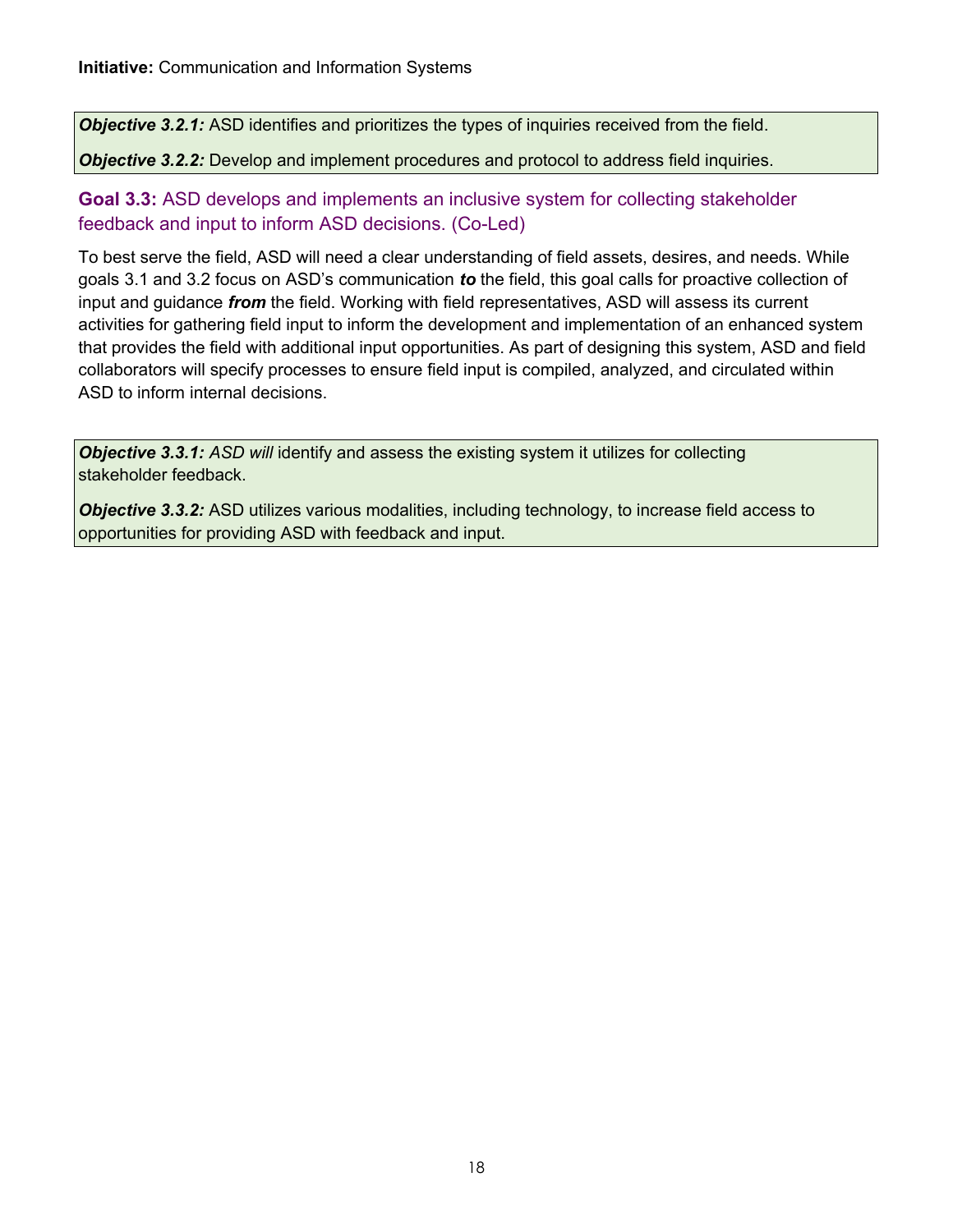**Objective 3.2.1:** ASD identifies and prioritizes the types of inquiries received from the field.

#### *Objective 3.2.2:* Develop and implement procedures and protocol to address field inquiries.

#### feedback and input to inform ASD decisions. (Co-Led) **Goal 3.3:** ASD develops and implements an inclusive system for collecting stakeholder

 To best serve the field, ASD will need a clear understanding of field assets, desires, and needs. While goals 3.1 and 3.2 focus on ASD's communication *to* the field, this goal calls for proactive collection of input and guidance *from* the field. Working with field representatives, ASD will assess its current activities for gathering field input to inform the development and implementation of an enhanced system that provides the field with additional input opportunities. As part of designing this system, ASD and field collaborators will specify processes to ensure field input is compiled, analyzed, and circulated within ASD to inform internal decisions.

**Objective 3.3.1:** ASD will identify and assess the existing system it utilizes for collecting stakeholder feedback.

 *Objective 3.3.2:* ASD utilizes various modalities, including technology, to increase field access to opportunities for providing ASD with feedback and input.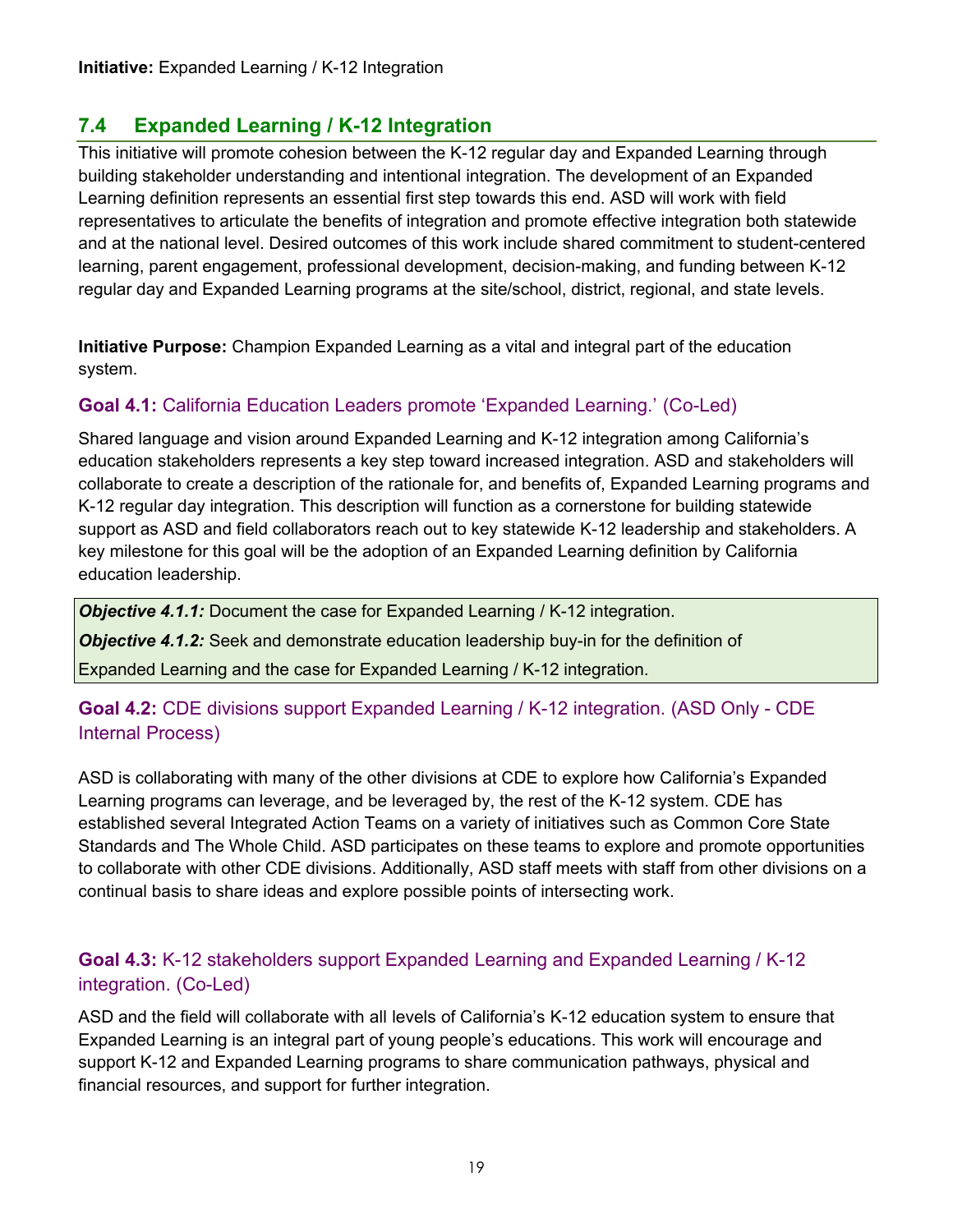## **7.4 Expanded Learning / K-12 Integration**

<span id="page-21-0"></span> Learning definition represents an essential first step towards this end. ASD will work with field representatives to articulate the benefits of integration and promote effective integration both statewide and at the national level. Desired outcomes of this work include shared commitment to student-centered **Initiative:** Expanded Learning / K-12 Integration<br> **7.4** Expanded Learning / K-12 Integration<br>
This initiative will promote cohesion between the<br>
building stakeholder understanding and intention<br>
Learning definition repre This initiative will promote cohesion between the K-12 regular day and Expanded Learning through building stakeholder understanding and intentional integration. The development of an Expanded learning, parent engagement, professional development, decision-making, and funding between K-12 regular day and Expanded Learning programs at the site/school, district, regional, and state levels.

 **Initiative Purpose:** Champion Expanded Learning as a vital and integral part of the education system.

## **Goal 4.1:** California Education Leaders promote 'Expanded Learning.' (Co-Led)

 education stakeholders represents a key step toward increased integration. ASD and stakeholders will collaborate to create a description of the rationale for, and benefits of, Expanded Learning programs and K-12 regular day integration. This description will function as a cornerstone for building statewide support as ASD and field collaborators reach out to key statewide K-12 leadership and stakeholders. A key milestone for this goal will be the adoption of an Expanded Learning definition by California Shared language and vision around Expanded Learning and K-12 integration among California's education leadership.

*Objective 4.1.1:* Document the case for Expanded Learning / K-12 integration.

*Objective 4.1.2:* Seek and demonstrate education leadership buy-in for the definition of

Expanded Learning and the case for Expanded Learning / K-12 integration.

#### **Goal 4.2:** CDE divisions support Expanded Learning / K-12 integration. (ASD Only - CDE Internal Process)

 ASD is collaborating with many of the other divisions at CDE to explore how California's Expanded Learning programs can leverage, and be leveraged by, the rest of the K-12 system. CDE has established several Integrated Action Teams on a variety of initiatives such as Common Core State Standards and The Whole Child. ASD participates on these teams to explore and promote opportunities to collaborate with other CDE divisions. Additionally, ASD staff meets with staff from other divisions on a continual basis to share ideas and explore possible points of intersecting work.

#### **Goal 4.3:** K-12 stakeholders support Expanded Learning and Expanded Learning / K-12 integration. (Co-Led)

 ASD and the field will collaborate with all levels of California's K-12 education system to ensure that Expanded Learning is an integral part of young people's educations. This work will encourage and financial resources, and support for further integration. support K-12 and Expanded Learning programs to share communication pathways, physical and